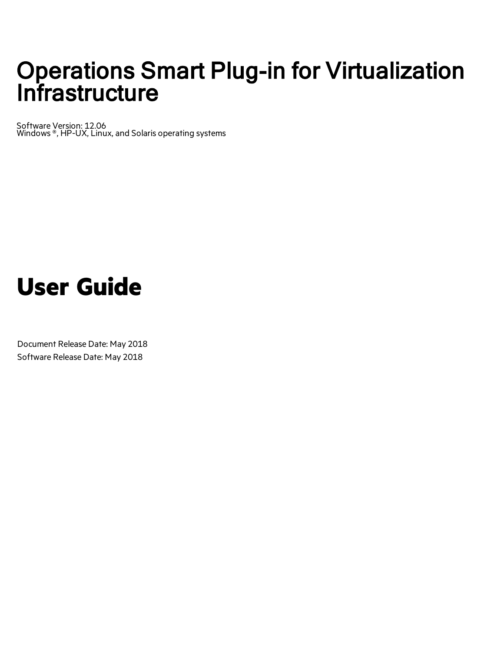# Operations Smart Plug-in for Virtualization **Infrastructure**

Software Version: 12.06 Windows ®, HP-UX, Linux, and Solaris operating systems

# **User Guide**

Document Release Date: May 2018 Software Release Date: May 2018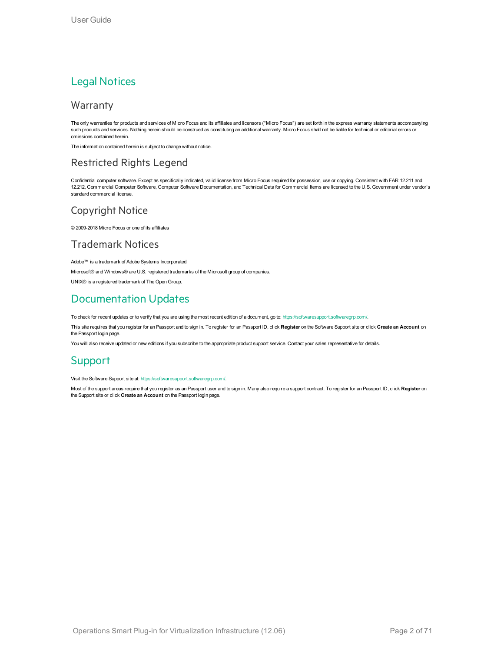#### Legal Notices

#### Warranty

The only warranties for products and services of Micro Focus and its affiliates and licensors ("Micro Focus") are set forth in the express warranty statements accompanying such products and services. Nothing herein should be construed as constituting an additional warranty. Micro Focus shall not be liable for technical or editorial errors or omissions contained herein.

The information contained herein is subject to change without notice.

#### Restricted Rights Legend

Confidential computer software. Except as specifically indicated, valid license from Micro Focus required for possession, use or copying. Consistent with FAR 12.211 and 12.212, Commercial Computer Software, Computer Software Documentation, and Technical Data for Commercial Items are licensed to the U.S. Government under vendor's standard commercial license.

#### Copyright Notice

© 2009-2018 Micro Focus or one of its affiliates

#### Trademark Notices

Adobe™ is a trademark of Adobe Systems Incorporated.

Microsoft® and Windows® are U.S. registered trademarks of the Microsoft group of companies.

UNIX® is a registered trademark of The Open Group.

#### Documentation Updates

To check for recent updates or to verify that you are using the most recent edition of a document, go to: <https://softwaresupport.softwaregrp.com/>.

This site requires that you register for an Passport and to sign in. To register for an Passport ID, click **Register** on the Software Support site or click **Create an Account** on the Passport login page.

You will also receive updated or new editions if you subscribe to the appropriate product support service. Contact your sales representative for details.

#### Support

Visit the Software Support site at: [https://softwaresupport.softwaregrp.com/.](https://softwaresupport.softwaregrp.com/)

Most of the support areas require that you register as an Passport user and to sign in. Many also require a support contract. To register for an Passport ID, click **Register** on the Support site or click **Create an Account** on the Passport login page.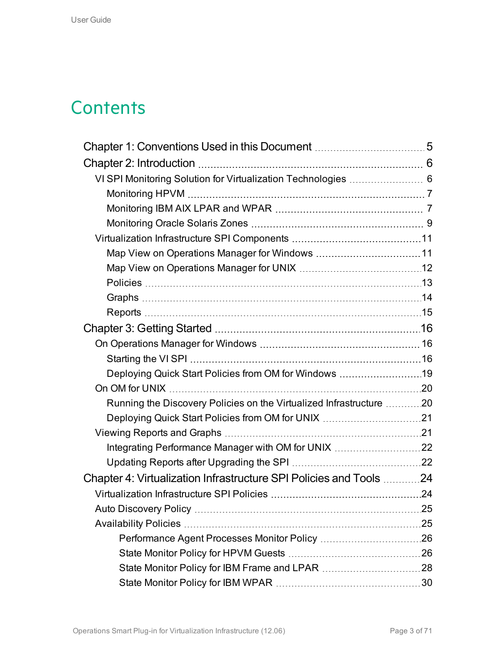# **Contents**

| VI SPI Monitoring Solution for Virtualization Technologies  6       |  |
|---------------------------------------------------------------------|--|
|                                                                     |  |
|                                                                     |  |
|                                                                     |  |
|                                                                     |  |
|                                                                     |  |
|                                                                     |  |
|                                                                     |  |
|                                                                     |  |
|                                                                     |  |
|                                                                     |  |
|                                                                     |  |
|                                                                     |  |
| Deploying Quick Start Policies from OM for Windows 19               |  |
|                                                                     |  |
| Running the Discovery Policies on the Virtualized Infrastructure 20 |  |
|                                                                     |  |
|                                                                     |  |
| Integrating Performance Manager with OM for UNIX 22                 |  |
|                                                                     |  |
| Chapter 4: Virtualization Infrastructure SPI Policies and Tools 24  |  |
|                                                                     |  |
|                                                                     |  |
|                                                                     |  |
|                                                                     |  |
|                                                                     |  |
|                                                                     |  |
|                                                                     |  |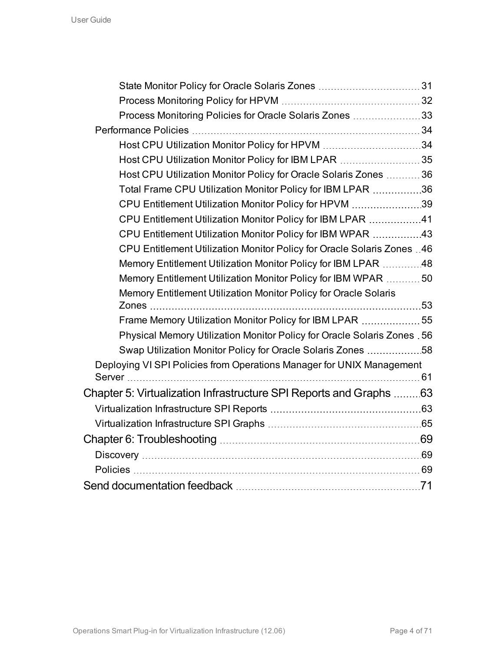| Process Monitoring Policies for Oracle Solaris Zones 33                  |  |
|--------------------------------------------------------------------------|--|
|                                                                          |  |
| Host CPU Utilization Monitor Policy for HPVM 34                          |  |
| Host CPU Utilization Monitor Policy for IBM LPAR 35                      |  |
| Host CPU Utilization Monitor Policy for Oracle Solaris Zones  36         |  |
| Total Frame CPU Utilization Monitor Policy for IBM LPAR 36               |  |
| CPU Entitlement Utilization Monitor Policy for HPVM 39                   |  |
| CPU Entitlement Utilization Monitor Policy for IBM LPAR 41               |  |
| CPU Entitlement Utilization Monitor Policy for IBM WPAR 43               |  |
| CPU Entitlement Utilization Monitor Policy for Oracle Solaris Zones 46   |  |
| Memory Entitlement Utilization Monitor Policy for IBM LPAR 48            |  |
| Memory Entitlement Utilization Monitor Policy for IBM WPAR  50           |  |
| Memory Entitlement Utilization Monitor Policy for Oracle Solaris         |  |
|                                                                          |  |
| Frame Memory Utilization Monitor Policy for IBM LPAR 55                  |  |
| Physical Memory Utilization Monitor Policy for Oracle Solaris Zones . 56 |  |
| Swap Utilization Monitor Policy for Oracle Solaris Zones 58              |  |
| Deploying VI SPI Policies from Operations Manager for UNIX Management    |  |
|                                                                          |  |
| Chapter 5: Virtualization Infrastructure SPI Reports and Graphs 63       |  |
|                                                                          |  |
|                                                                          |  |
|                                                                          |  |
|                                                                          |  |
|                                                                          |  |
|                                                                          |  |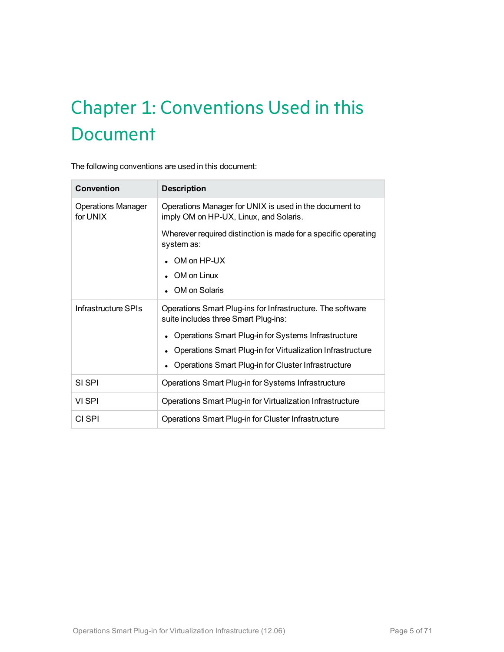# <span id="page-4-0"></span>Chapter 1: Conventions Used in this **Document**

The following conventions are used in this document:

| Convention                            | <b>Description</b>                                                                                 |  |
|---------------------------------------|----------------------------------------------------------------------------------------------------|--|
| <b>Operations Manager</b><br>for UNIX | Operations Manager for UNIX is used in the document to<br>imply OM on HP-UX, Linux, and Solaris.   |  |
|                                       | Wherever required distinction is made for a specific operating<br>system as:                       |  |
|                                       | OM on HP-UX                                                                                        |  |
|                                       | OM on Linux                                                                                        |  |
|                                       | OM on Solaris                                                                                      |  |
| Infrastructure SPIs                   | Operations Smart Plug-ins for Infrastructure. The software<br>suite includes three Smart Plug-ins: |  |
|                                       | Operations Smart Plug-in for Systems Infrastructure                                                |  |
|                                       | Operations Smart Plug-in for Virtualization Infrastructure                                         |  |
|                                       | Operations Smart Plug-in for Cluster Infrastructure                                                |  |
| SI SPI                                | Operations Smart Plug-in for Systems Infrastructure                                                |  |
| VI SPI                                | Operations Smart Plug-in for Virtualization Infrastructure                                         |  |
| CI SPI                                | Operations Smart Plug-in for Cluster Infrastructure                                                |  |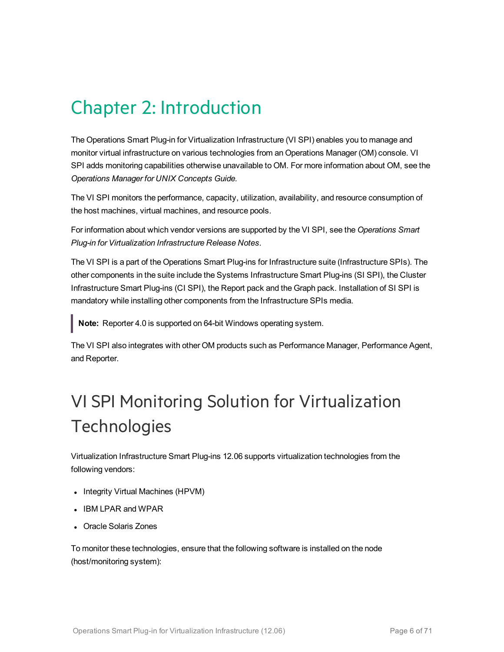# <span id="page-5-0"></span>Chapter 2: Introduction

The Operations Smart Plug-in for Virtualization Infrastructure (VI SPI) enables you to manage and monitor virtual infrastructure on various technologies from an Operations Manager (OM) console. VI SPI adds monitoring capabilities otherwise unavailable to OM. For more information about OM, see the *Operations Manager for UNIX Concepts Guide.*

The VI SPI monitors the performance, capacity, utilization, availability, and resource consumption of the host machines, virtual machines, and resource pools.

For information about which vendor versions are supported by the VI SPI, see the *Operations Smart Plug-in for Virtualization Infrastructure Release Notes*.

The VI SPI is a part of the Operations Smart Plug-ins for Infrastructure suite (Infrastructure SPIs). The other components in the suite include the Systems Infrastructure Smart Plug-ins (SI SPI), the Cluster Infrastructure Smart Plug-ins (CI SPI), the Report pack and the Graph pack. Installation of SI SPI is mandatory while installing other components from the Infrastructure SPIs media.

**Note:** Reporter 4.0 is supported on 64-bit Windows operating system.

The VI SPI also integrates with other OM products such as Performance Manager, Performance Agent, and Reporter.

# <span id="page-5-1"></span>VI SPI Monitoring Solution for Virtualization **Technologies**

Virtualization Infrastructure Smart Plug-ins 12.06 supports virtualization technologies from the following vendors:

- Integrity Virtual Machines (HPVM)
- <sup>l</sup> IBM LPAR and WPAR
- Oracle Solaris Zones

To monitor these technologies, ensure that the following software is installed on the node (host/monitoring system):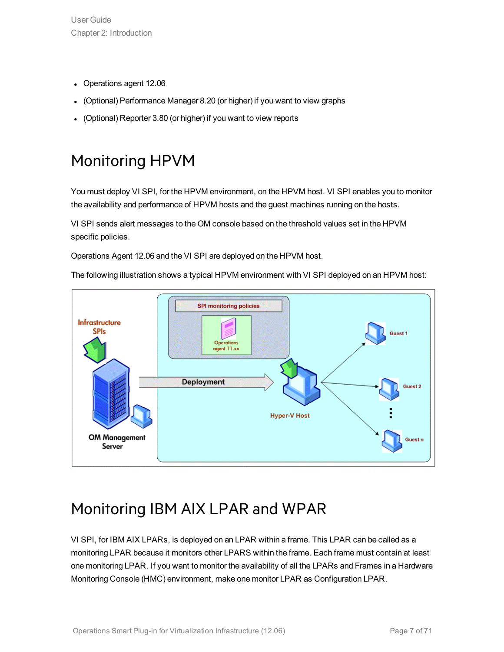- Operations agent 12.06
- (Optional) Performance Manager 8.20 (or higher) if you want to view graphs
- <span id="page-6-0"></span>• (Optional) Reporter 3.80 (or higher) if you want to view reports

## Monitoring HPVM

You must deploy VI SPI, for the HPVM environment, on the HPVM host. VI SPI enables you to monitor the availability and performance of HPVM hosts and the guest machines running on the hosts.

VI SPI sends alert messages to the OM console based on the threshold values set in the HPVM specific policies.

Operations Agent 12.06 and the VI SPI are deployed on the HPVM host.

The following illustration shows a typical HPVM environment with VI SPI deployed on an HPVM host:



### <span id="page-6-1"></span>Monitoring IBM AIX LPAR and WPAR

VI SPI, for IBM AIX LPARs, is deployed on an LPAR within a frame. This LPAR can be called as a monitoring LPAR because it monitors other LPARS within the frame. Each frame must contain at least one monitoring LPAR. If you want to monitor the availability of all the LPARs and Frames in a Hardware Monitoring Console (HMC) environment, make one monitor LPAR as Configuration LPAR.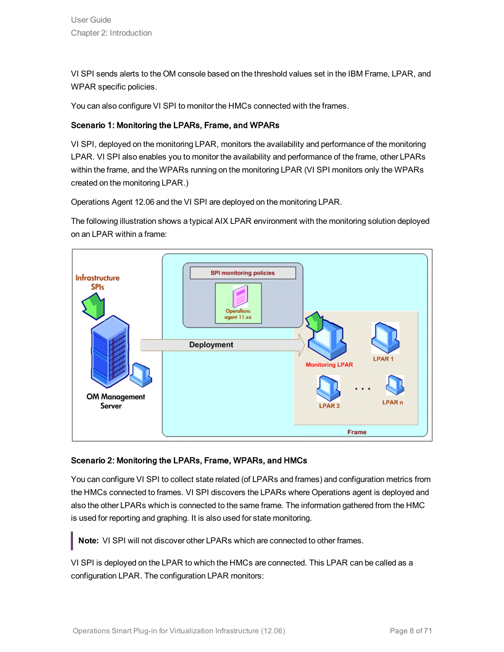VI SPI sends alerts to the OM console based on the threshold values set in the IBM Frame, LPAR, and WPAR specific policies.

You can also configure VI SPI to monitor the HMCs connected with the frames.

#### Scenario 1: Monitoring the LPARs, Frame, and WPARs

VI SPI, deployed on the monitoring LPAR, monitors the availability and performance of the monitoring LPAR. VI SPI also enables you to monitor the availability and performance of the frame, other LPARs within the frame, and the WPARs running on the monitoring LPAR (VI SPI monitors only the WPARs created on the monitoring LPAR.)

Operations Agent 12.06 and the VI SPI are deployed on the monitoring LPAR.

The following illustration shows a typical AIX LPAR environment with the monitoring solution deployed on an LPAR within a frame:



#### Scenario 2: Monitoring the LPARs, Frame, WPARs, and HMCs

You can configure VI SPI to collect state related (of LPARs and frames) and configuration metrics from the HMCs connected to frames. VI SPI discovers the LPARs where Operations agent is deployed and also the other LPARs which is connected to the same frame. The information gathered from the HMC is used for reporting and graphing. It is also used for state monitoring.

**Note:** VI SPI will not discover other LPARs which are connected to other frames.

VI SPI is deployed on the LPAR to which the HMCs are connected. This LPAR can be called as a configuration LPAR. The configuration LPAR monitors: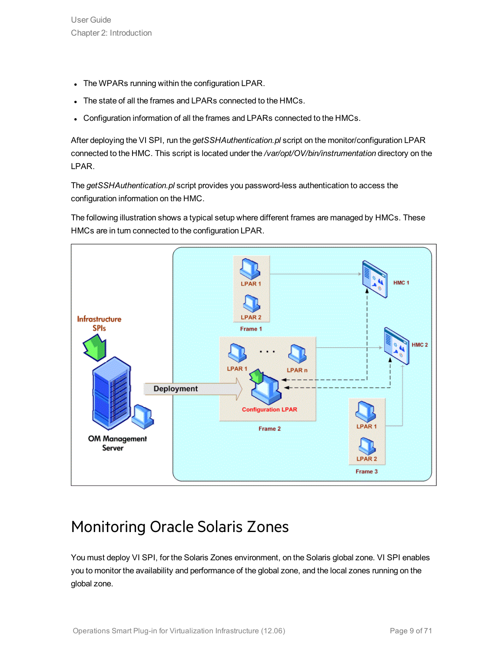- The WPARs running within the configuration LPAR.
- The state of all the frames and LPARs connected to the HMCs.
- Configuration information of all the frames and LPARs connected to the HMCs.

After deploying the VI SPI, run the *getSSHAuthentication.pl* script on the monitor/configuration LPAR connected to the HMC. This script is located under the */var/opt/OV/bin/instrumentation* directory on the LPAR.

The *getSSHAuthentication.pl* script provides you password-less authentication to access the configuration information on the HMC.

The following illustration shows a typical setup where different frames are managed by HMCs. These HMCs are in turn connected to the configuration LPAR.



## <span id="page-8-0"></span>Monitoring Oracle Solaris Zones

You must deploy VI SPI, for the Solaris Zones environment, on the Solaris global zone. VI SPI enables you to monitor the availability and performance of the global zone, and the local zones running on the global zone.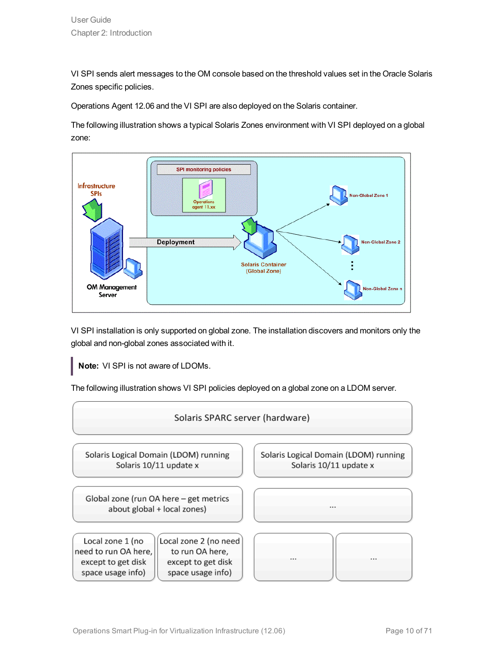VI SPI sends alert messages to the OM console based on the threshold values set in the Oracle Solaris Zones specific policies.

Operations Agent 12.06 and the VI SPI are also deployed on the Solaris container.

The following illustration shows a typical Solaris Zones environment with VI SPI deployed on a global zone:



VI SPI installation is only supported on global zone. The installation discovers and monitors only the global and non-global zones associated with it.

**Note:** VI SPI is not aware of LDOMs.

The following illustration shows VI SPI policies deployed on a global zone on a LDOM server.

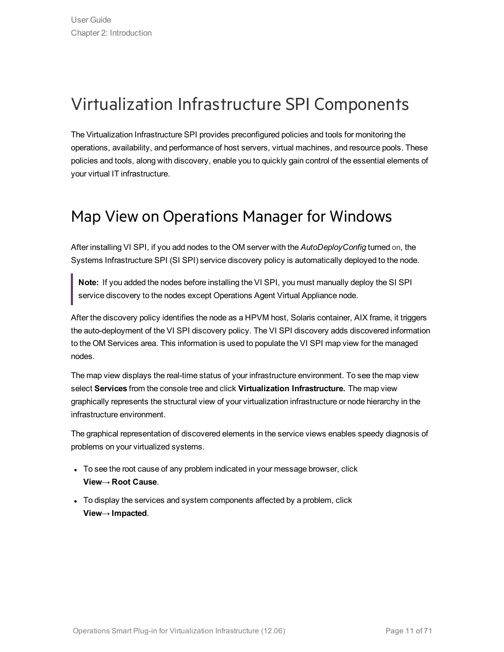## <span id="page-10-0"></span>Virtualization Infrastructure SPI Components

The Virtualization Infrastructure SPI provides preconfigured policies and tools for monitoring the operations, availability, and performance of host servers, virtual machines, and resource pools. These policies and tools, along with discovery, enable you to quickly gain control of the essential elements of your virtual IT infrastructure.

### <span id="page-10-1"></span>Map View on Operations Manager for Windows

After installing VI SPI, if you add nodes to the OM server with the *AutoDeployConfig* turned on, the Systems Infrastructure SPI (SI SPI) service discovery policy is automatically deployed to the node.

**Note:** If you added the nodes before installing the VI SPI, you must manually deploy the SI SPI service discovery to the nodes except Operations Agent Virtual Appliance node.

After the discovery policy identifies the node as a HPVM host, Solaris container, AIX frame, it triggers the auto-deployment of the VI SPI discovery policy. The VI SPI discovery adds discovered information to the OM Services area. This information is used to populate the VI SPI map view for the managed nodes.

The map view displays the real-time status of your infrastructure environment. To see the map view select **Services** from the console tree and click **Virtualization Infrastructure.** The map view graphically represents the structural view of your virtualization infrastructure or node hierarchy in the infrastructure environment.

The graphical representation of discovered elements in the service views enables speedy diagnosis of problems on your virtualized systems.

- To see the root cause of any problem indicated in your message browser, click **View**→ **Root Cause**.
- To display the services and system components affected by a problem, click **View**→ **Impacted**.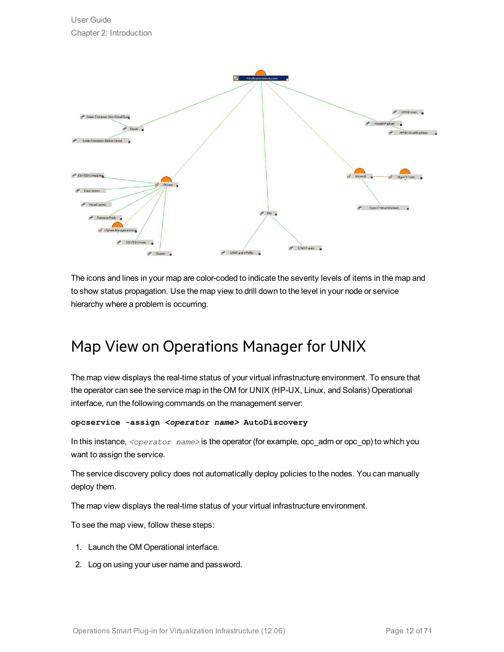

The icons and lines in your map are color-coded to indicate the severity levels of items in the map and to show status propagation. Use the map view to drill down to the level in your node or service hierarchy where a problem is occurring.

### <span id="page-11-0"></span>Map View on Operations Manager for UNIX

The map view displays the real-time status of your virtual infrastructure environment. To ensure that the operator can see the service map in the OM for UNIX (HP-UX, Linux, and Solaris) Operational interface, run the following commands on the management server:

```
opcservice -assign <operator name> AutoDiscovery
```
In this instance, *<operator name>* is the operator (for example, opc\_adm or opc\_op) to which you want to assign the service.

The service discovery policy does not automatically deploy policies to the nodes. You can manually deploy them.

The map view displays the real-time status of your virtual infrastructure environment.

To see the map view, follow these steps:

- 1. Launch the OM Operational interface.
- 2. Log on using your user name and password.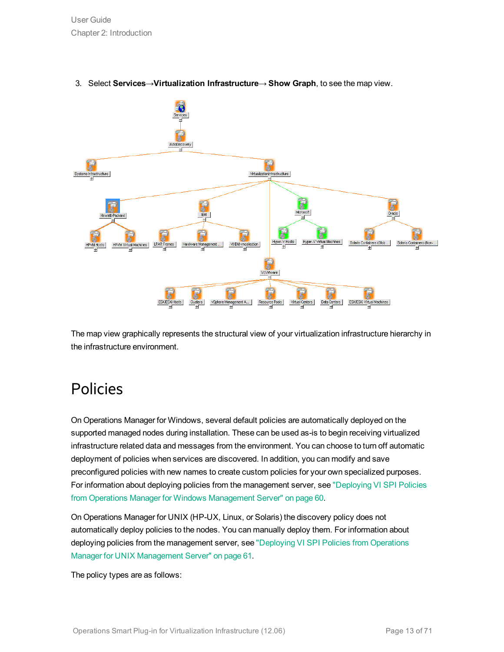

#### 3. Select **Services**→**Virtualization Infrastructure**→ **Show Graph**, to see the map view.

<span id="page-12-0"></span>The map view graphically represents the structural view of your virtualization infrastructure hierarchy in the infrastructure environment.

### Policies

On Operations Manager for Windows, several default policies are automatically deployed on the supported managed nodes during installation. These can be used as-is to begin receiving virtualized infrastructure related data and messages from the environment. You can choose to turn off automatic deployment of policies when services are discovered. In addition, you can modify and save preconfigured policies with new names to create custom policies for your own specialized purposes. For information about deploying policies from the management server, see ["Deploying](#page-59-0) VI SPI Policies from Operations Manager for Windows [Management](#page-59-0) Server" on page 60.

On Operations Manager for UNIX (HP-UX, Linux, or Solaris) the discovery policy does not automatically deploy policies to the nodes. You can manually deploy them. For information about deploying policies from the management server, see ["Deploying](#page-60-0) VI SPI Policies from Operations Manager for UNIX [Management](#page-60-0) Server" on page 61.

The policy types are as follows: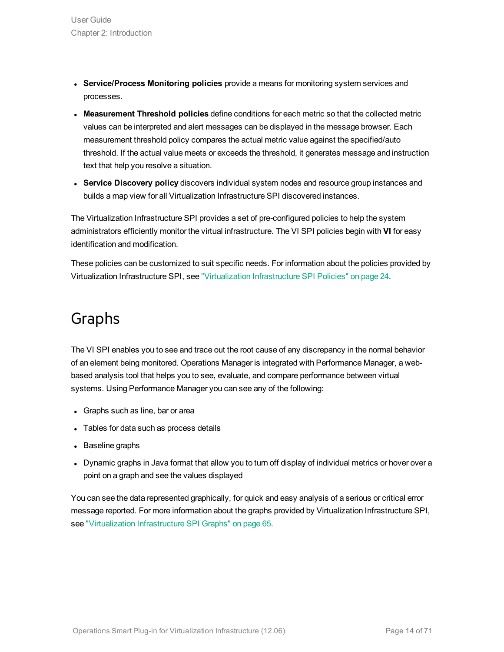- <sup>l</sup> **Service/Process Monitoring policies** provide a means for monitoring system services and processes.
- <sup>l</sup> **Measurement Threshold policies** define conditions for each metric so that the collected metric values can be interpreted and alert messages can be displayed in the message browser. Each measurement threshold policy compares the actual metric value against the specified/auto threshold. If the actual value meets or exceeds the threshold, it generates message and instruction text that help you resolve a situation.
- **.** Service Discovery policy discovers individual system nodes and resource group instances and builds a map view for all Virtualization Infrastructure SPI discovered instances.

The Virtualization Infrastructure SPI provides a set of pre-configured policies to help the system administrators efficiently monitor the virtual infrastructure. The VI SPI policies begin with **VI** for easy identification and modification.

<span id="page-13-0"></span>These policies can be customized to suit specific needs. For information about the policies provided by Virtualization Infrastructure SPI, see ["Virtualization](#page-23-1) Infrastructure SPI Policies" on page 24.

### Graphs

The VI SPI enables you to see and trace out the root cause of any discrepancy in the normal behavior of an element being monitored. Operations Manager is integrated with Performance Manager, a webbased analysis tool that helps you to see, evaluate, and compare performance between virtual systems. Using Performance Manager you can see any of the following:

- Graphs such as line, bar or area
- Tables for data such as process details
- Baseline graphs
- Dynamic graphs in Java format that allow you to turn off display of individual metrics or hover over a point on a graph and see the values displayed

You can see the data represented graphically, for quick and easy analysis of a serious or critical error message reported. For more information about the graphs provided by Virtualization Infrastructure SPI, see ["Virtualization](#page-64-0) Infrastructure SPI Graphs" on page 65.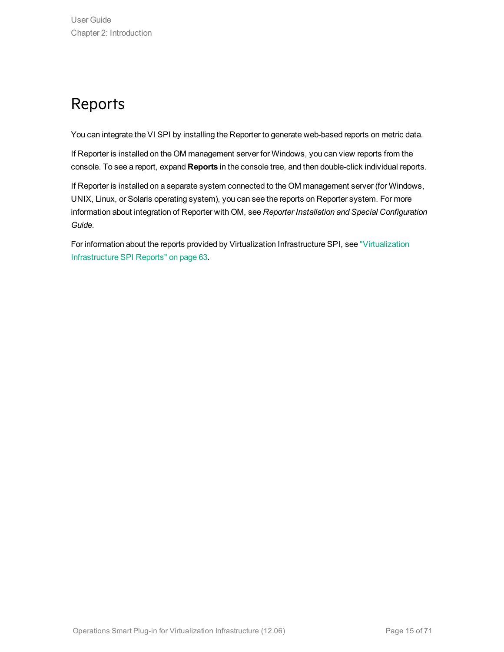## <span id="page-14-0"></span>Reports

You can integrate the VI SPI by installing the Reporter to generate web-based reports on metric data.

If Reporter is installed on the OM management server for Windows, you can view reports from the console. To see a report, expand **Reports** in the console tree, and then double-click individual reports.

If Reporter is installed on a separate system connected to the OM management server (for Windows, UNIX, Linux, or Solaris operating system), you can see the reports on Reporter system. For more information about integration of Reporter with OM, see *Reporter Installation and Special Configuration Guide*.

For information about the reports provided by Virtualization Infrastructure SPI, see ["Virtualization](#page-62-1) [Infrastructure](#page-62-1) SPI Reports" on page 63.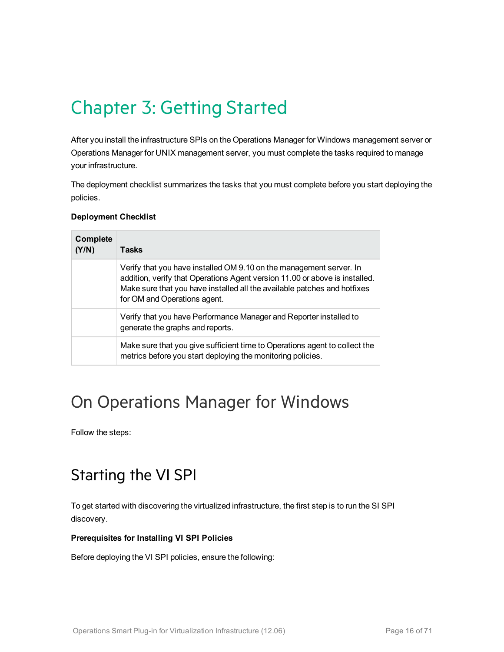# <span id="page-15-0"></span>Chapter 3: Getting Started

After you install the infrastructure SPIs on the Operations Manager for Windows management server or Operations Manager for UNIX management server, you must complete the tasks required to manage your infrastructure.

The deployment checklist summarizes the tasks that you must complete before you start deploying the policies.

#### **Deployment Checklist**

| Complete<br>(Y/N) | <b>Tasks</b>                                                                                                                                                                                                                                                   |
|-------------------|----------------------------------------------------------------------------------------------------------------------------------------------------------------------------------------------------------------------------------------------------------------|
|                   | Verify that you have installed OM 9.10 on the management server. In<br>addition, verify that Operations Agent version 11.00 or above is installed.<br>Make sure that you have installed all the available patches and hotfixes<br>for OM and Operations agent. |
|                   | Verify that you have Performance Manager and Reporter installed to<br>generate the graphs and reports.                                                                                                                                                         |
|                   | Make sure that you give sufficient time to Operations agent to collect the<br>metrics before you start deploying the monitoring policies.                                                                                                                      |

## <span id="page-15-1"></span>On Operations Manager for Windows

<span id="page-15-2"></span>Follow the steps:

### Starting the VI SPI

To get started with discovering the virtualized infrastructure, the first step is to run the SI SPI discovery.

#### **Prerequisites for Installing VI SPI Policies**

Before deploying the VI SPI policies, ensure the following: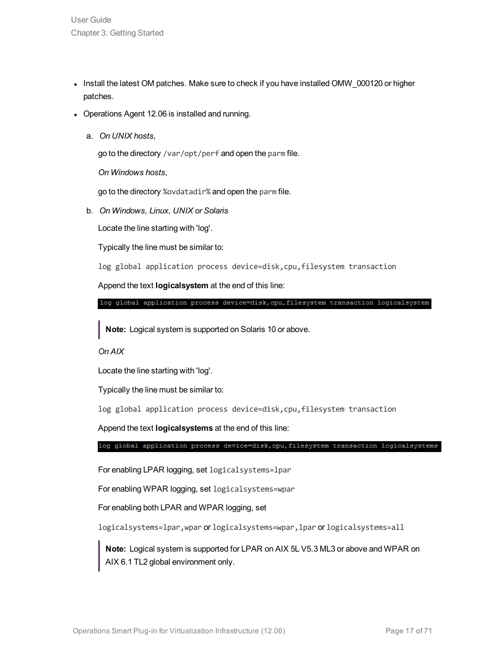- Install the latest OM patches. Make sure to check if you have installed OMW\_000120 or higher patches.
- Operations Agent 12.06 is installed and running.
	- a. *On UNIX hosts,*

go to the directory /var/opt/perf and open the parm file.

*On Windows hosts,*

go to the directory %ovdatadir% and open the parm file.

b. *On Windows, Linux, UNIX or Solaris*

Locate the line starting with 'log'.

Typically the line must be similar to:

log global application process device=disk, cpu, filesystem transaction

Append the text **logicalsystem** at the end of this line:

log global application process device=disk, cpu, filesystem transaction logicalsystem

**Note:** Logical system is supported on Solaris 10 or above.

*On AIX*

Locate the line starting with 'log'.

Typically the line must be similar to:

log global application process device=disk, cpu, filesystem transaction

Append the text **logicalsystems** at the end of this line:

log global application process device=disk, cpu, filesystem transaction logicalsystems

For enabling LPAR logging, set logicalsystems=lpar

For enabling WPAR logging, set logicalsystems=wpar

For enabling both LPAR and WPAR logging, set

logicalsystems=lpar,wpar or logicalsystems=wpar,lpar or logicalsystems=all

**Note:** Logical system is supported for LPAR on AIX 5L V5.3 ML3 or above and WPAR on AIX 6.1 TL2 global environment only.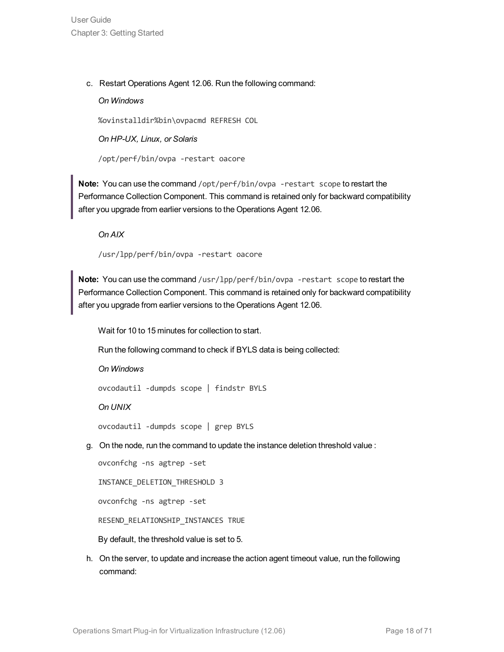c. Restart Operations Agent 12.06. Run the following command:

#### *On Windows*

%ovinstalldir%bin\ovpacmd REFRESH COL

*On HP-UX, Linux, or Solaris*

/opt/perf/bin/ovpa -restart oacore

**Note:** You can use the command /opt/perf/bin/ovpa -restart scope to restart the Performance Collection Component. This command is retained only for backward compatibility after you upgrade from earlier versions to the Operations Agent 12.06.

*On AIX*

/usr/lpp/perf/bin/ovpa -restart oacore

**Note:** You can use the command /usr/lpp/perf/bin/ovpa -restart scope to restart the Performance Collection Component. This command is retained only for backward compatibility after you upgrade from earlier versions to the Operations Agent 12.06.

Wait for 10 to 15 minutes for collection to start.

Run the following command to check if BYLS data is being collected:

*On Windows*

ovcodautil -dumpds scope | findstr BYLS

*On UNIX*

ovcodautil -dumpds scope | grep BYLS

g. On the node, run the command to update the instance deletion threshold value :

ovconfchg -ns agtrep -set INSTANCE\_DELETION\_THRESHOLD 3 ovconfchg -ns agtrep -set RESEND\_RELATIONSHIP\_INSTANCES TRUE

By default, the threshold value is set to 5.

h. On the server, to update and increase the action agent timeout value, run the following command: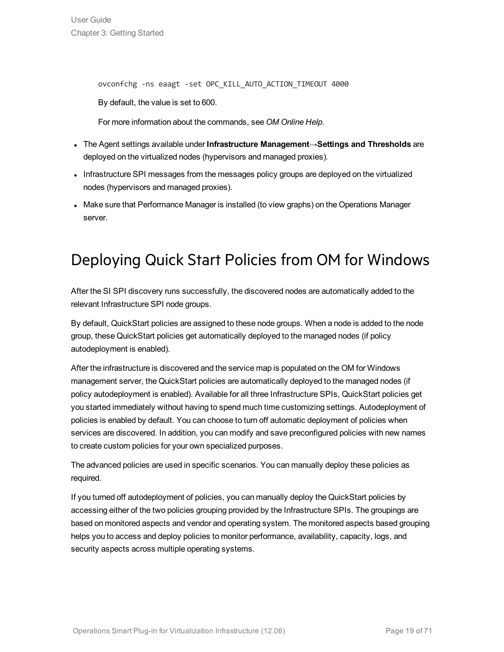ovconfchg -ns eaagt -set OPC\_KILL\_AUTO\_ACTION\_TIMEOUT 4000

By default, the value is set to 600.

For more information about the commands, see *OM Online Help*.

- <sup>l</sup> The Agent settings available under **Infrastructure Management**→**Settings and Thresholds** are deployed on the virtualized nodes (hypervisors and managed proxies).
- Infrastructure SPI messages from the messages policy groups are deployed on the virtualized nodes (hypervisors and managed proxies).
- <span id="page-18-0"></span>• Make sure that Performance Manager is installed (to view graphs) on the Operations Manager server.

## Deploying Quick Start Policies from OM for Windows

After the SI SPI discovery runs successfully, the discovered nodes are automatically added to the relevant Infrastructure SPI node groups.

By default, QuickStart policies are assigned to these node groups. When a node is added to the node group, these QuickStart policies get automatically deployed to the managed nodes (if policy autodeployment is enabled).

After the infrastructure is discovered and the service map is populated on the OM for Windows management server, the QuickStart policies are automatically deployed to the managed nodes (if policy autodeployment is enabled). Available for all three Infrastructure SPIs, QuickStart policies get you started immediately without having to spend much time customizing settings. Autodeployment of policies is enabled by default. You can choose to turn off automatic deployment of policies when services are discovered. In addition, you can modify and save preconfigured policies with new names to create custom policies for your own specialized purposes.

The advanced policies are used in specific scenarios. You can manually deploy these policies as required.

If you turned off autodeployment of policies, you can manually deploy the QuickStart policies by accessing either of the two policies grouping provided by the Infrastructure SPIs. The groupings are based on monitored aspects and vendor and operating system. The monitored aspects based grouping helps you to access and deploy policies to monitor performance, availability, capacity, logs, and security aspects across multiple operating systems.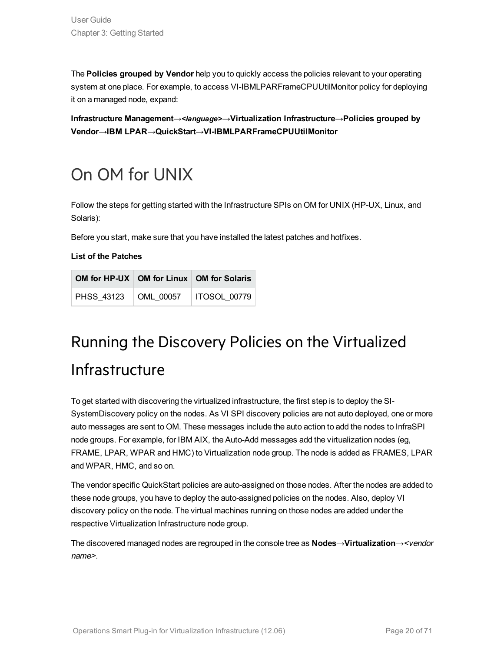The **Policies grouped by Vendor** help you to quickly access the policies relevant to your operating system at one place. For example, to access VI-IBMLPARFrameCPUUtilMonitor policy for deploying it on a managed node, expand:

**Infrastructure Management**→*<language>*→**Virtualization Infrastructure**→**Policies grouped by Vendor**→**IBM LPAR→QuickStart→VI-IBMLPARFrameCPUUtilMonitor**

# <span id="page-19-0"></span>On OM for UNIX

Follow the steps for getting started with the Infrastructure SPIs on OM for UNIX (HP-UX, Linux, and Solaris):

Before you start, make sure that you have installed the latest patches and hotfixes.

**List of the Patches**

|  | OM for HP-UX   OM for Linux   OM for Solaris |
|--|----------------------------------------------|
|  | PHSS 43123   OML 00057   ITOSOL 00779        |

# <span id="page-19-1"></span>Running the Discovery Policies on the Virtualized Infrastructure

To get started with discovering the virtualized infrastructure, the first step is to deploy the SI-SystemDiscovery policy on the nodes. As VI SPI discovery policies are not auto deployed, one or more auto messages are sent to OM. These messages include the auto action to add the nodes to InfraSPI node groups. For example, for IBM AIX, the Auto-Add messages add the virtualization nodes (eg, FRAME, LPAR, WPAR and HMC) to Virtualization node group. The node is added as FRAMES, LPAR and WPAR, HMC, and so on.

The vendor specific QuickStart policies are auto-assigned on those nodes. After the nodes are added to these node groups, you have to deploy the auto-assigned policies on the nodes. Also, deploy VI discovery policy on the node. The virtual machines running on those nodes are added under the respective Virtualization Infrastructure node group.

The discovered managed nodes are regrouped in the console tree as **Nodes**→**Virtualization**→<vendor name>.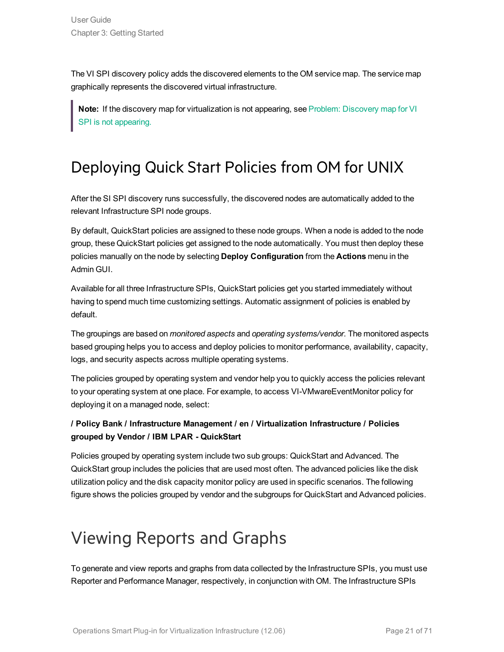The VI SPI discovery policy adds the discovered elements to the OM service map. The service map graphically represents the discovered virtual infrastructure.

**Note:** If the discovery map for virtualization is not appearing, see Problem: [Discovery](#page-68-1) map for VI SPI is not [appearing.](#page-68-1)

## <span id="page-20-0"></span>Deploying Quick Start Policies from OM for UNIX

After the SI SPI discovery runs successfully, the discovered nodes are automatically added to the relevant Infrastructure SPI node groups.

By default, QuickStart policies are assigned to these node groups. When a node is added to the node group, these QuickStart policies get assigned to the node automatically. You must then deploy these policies manually on the node by selecting **Deploy Configuration** from the **Actions** menu in the Admin GUI.

Available for all three Infrastructure SPIs, QuickStart policies get you started immediately without having to spend much time customizing settings. Automatic assignment of policies is enabled by default.

The groupings are based on *monitored aspects* and *operating systems/vendor*. The monitored aspects based grouping helps you to access and deploy policies to monitor performance, availability, capacity, logs, and security aspects across multiple operating systems.

The policies grouped by operating system and vendor help you to quickly access the policies relevant to your operating system at one place. For example, to access VI-VMwareEventMonitor policy for deploying it on a managed node, select:

#### **/ Policy Bank / Infrastructure Management / en / Virtualization Infrastructure / Policies grouped by Vendor / IBM LPAR - QuickStart**

Policies grouped by operating system include two sub groups: QuickStart and Advanced. The QuickStart group includes the policies that are used most often. The advanced policies like the disk utilization policy and the disk capacity monitor policy are used in specific scenarios. The following figure shows the policies grouped by vendor and the subgroups for QuickStart and Advanced policies.

# <span id="page-20-1"></span>Viewing Reports and Graphs

To generate and view reports and graphs from data collected by the Infrastructure SPIs, you must use Reporter and Performance Manager, respectively, in conjunction with OM. The Infrastructure SPIs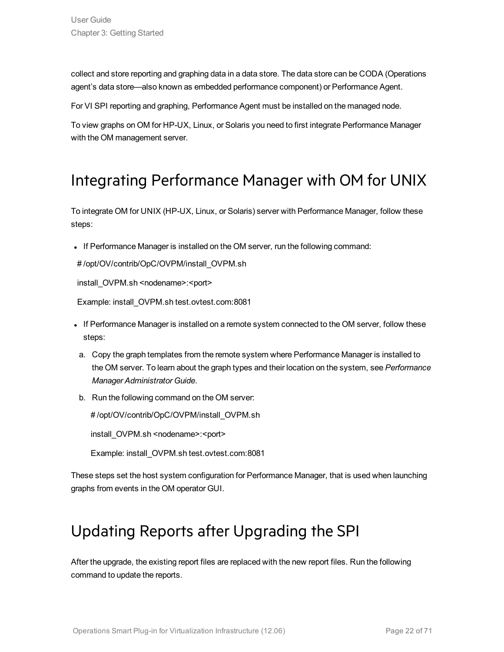collect and store reporting and graphing data in a data store. The data store can be CODA (Operations agent's data store—also known as embedded performance component) or Performance Agent.

For VI SPI reporting and graphing, Performance Agent must be installed on the managed node.

<span id="page-21-0"></span>To view graphs on OM for HP-UX, Linux, or Solaris you need to first integrate Performance Manager with the OM management server.

### Integrating Performance Manager with OM for UNIX

To integrate OM for UNIX (HP-UX, Linux, or Solaris) server with Performance Manager, follow these steps:

If Performance Manager is installed on the OM server, run the following command:

# /opt/OV/contrib/OpC/OVPM/install\_OVPM.sh

install\_OVPM.sh <nodename>:<port>

Example: install\_OVPM.sh test.ovtest.com:8081

- If Performance Manager is installed on a remote system connected to the OM server, follow these steps:
- a. Copy the graph templates from the remote system where Performance Manager is installed to the OM server. To learn about the graph types and their location on the system, see *Performance Manager Administrator Guide*.
- b. Run the following command on the OM server:

# /opt/OV/contrib/OpC/OVPM/install\_OVPM.sh

install\_OVPM.sh <nodename>:<port>

Example: install\_OVPM.sh test.ovtest.com:8081

<span id="page-21-1"></span>These steps set the host system configuration for Performance Manager, that is used when launching graphs from events in the OM operator GUI.

### Updating Reports after Upgrading the SPI

After the upgrade, the existing report files are replaced with the new report files. Run the following command to update the reports.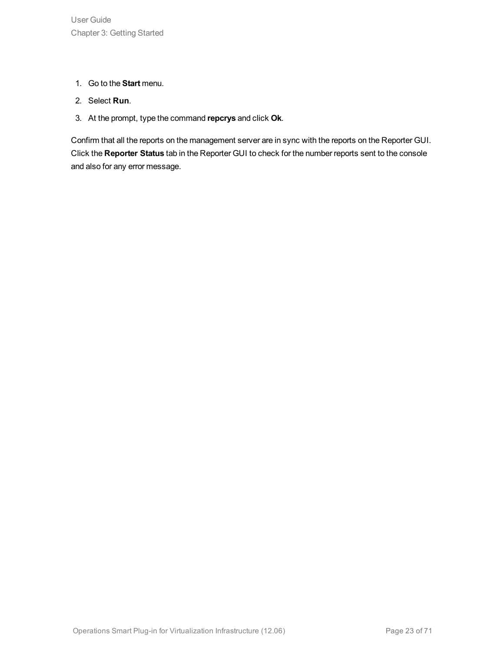- 1. Go to the **Start** menu.
- 2. Select **Run**.
- 3. At the prompt, type the command **repcrys** and click **Ok**.

Confirm that all the reports on the management server are in sync with the reports on the Reporter GUI. Click the **Reporter Status** tab in the Reporter GUI to check for the number reports sent to the console and also for any error message.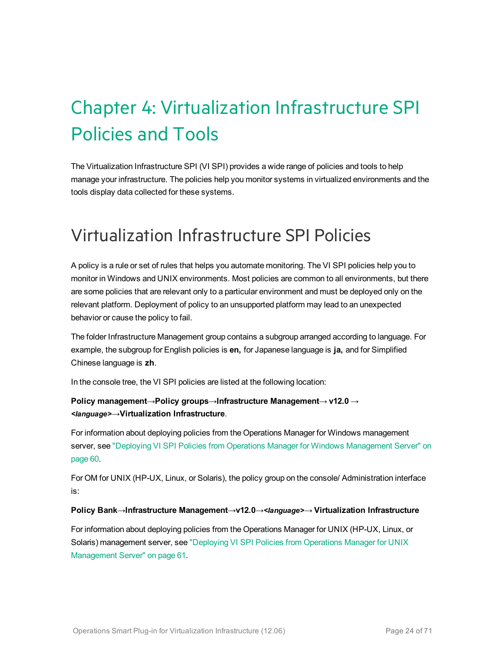# <span id="page-23-0"></span>Chapter 4: Virtualization Infrastructure SPI Policies and Tools

The Virtualization Infrastructure SPI (VI SPI) provides a wide range of policies and tools to help manage your infrastructure. The policies help you monitor systems in virtualized environments and the tools display data collected for these systems.

## <span id="page-23-1"></span>Virtualization Infrastructure SPI Policies

A policy is a rule or set of rules that helps you automate monitoring. The VI SPI policies help you to monitor in Windows and UNIX environments. Most policies are common to all environments, but there are some policies that are relevant only to a particular environment and must be deployed only on the relevant platform. Deployment of policy to an unsupported platform may lead to an unexpected behavior or cause the policy to fail.

The folder Infrastructure Management group contains a subgroup arranged according to language. For example, the subgroup for English policies is **en,** for Japanese language is **ja,** and for Simplified Chinese language is **zh**.

In the console tree, the VI SPI policies are listed at the following location:

#### **Policy management**→**Policy groups**→**Infrastructure Management**→ **v12.0** → *<language>*→**Virtualization Infrastructure**.

For information about deploying policies from the Operations Manager for Windows management server, see "Deploying VI SPI Policies from Operations Manager for Windows [Management](#page-59-0) Server" on [page 60](#page-59-0).

For OM for UNIX (HP-UX, Linux, or Solaris), the policy group on the console/ Administration interface is:

#### **Policy Bank**→**Infrastructure Management**→**v12.0**→*<language>*→ **Virtualization Infrastructure**

For information about deploying policies from the Operations Manager for UNIX (HP-UX, Linux, or Solaris) management server, see ["Deploying](#page-60-0) VI SPI Policies from Operations Manager for UNIX [Management](#page-60-0) Server" on page 61.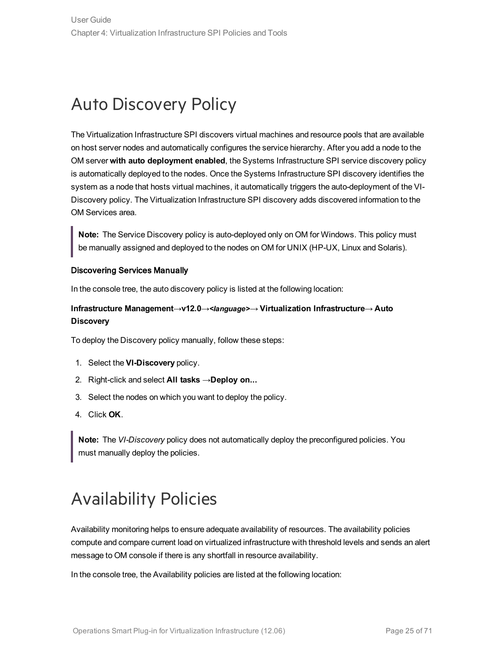# <span id="page-24-0"></span>Auto Discovery Policy

The Virtualization Infrastructure SPI discovers virtual machines and resource pools that are available on host server nodes and automatically configures the service hierarchy. After you add a node to the OM server **with auto deployment enabled**, the Systems Infrastructure SPI service discovery policy is automatically deployed to the nodes. Once the Systems Infrastructure SPI discovery identifies the system as a node that hosts virtual machines, it automatically triggers the auto-deployment of the VI-Discovery policy. The Virtualization Infrastructure SPI discovery adds discovered information to the OM Services area.

**Note:** The Service Discovery policy is auto-deployed only on OM for Windows. This policy must be manually assigned and deployed to the nodes on OM for UNIX (HP-UX, Linux and Solaris).

#### Discovering Services Manually

In the console tree, the auto discovery policy is listed at the following location:

#### **Infrastructure Management**→**v12.0**→*<language>*→ **Virtualization Infrastructure**→ **Auto Discovery**

To deploy the Discovery policy manually, follow these steps:

- 1. Select the **VI-Discovery** policy.
- 2. Right-click and select **All tasks** →**Deploy on...**
- 3. Select the nodes on which you want to deploy the policy.
- 4. Click **OK**.

**Note:** The *VI-Discovery* policy does not automatically deploy the preconfigured policies. You must manually deploy the policies.

# <span id="page-24-1"></span>Availability Policies

Availability monitoring helps to ensure adequate availability of resources. The availability policies compute and compare current load on virtualized infrastructure with threshold levels and sends an alert message to OM console if there is any shortfall in resource availability.

In the console tree, the Availability policies are listed at the following location: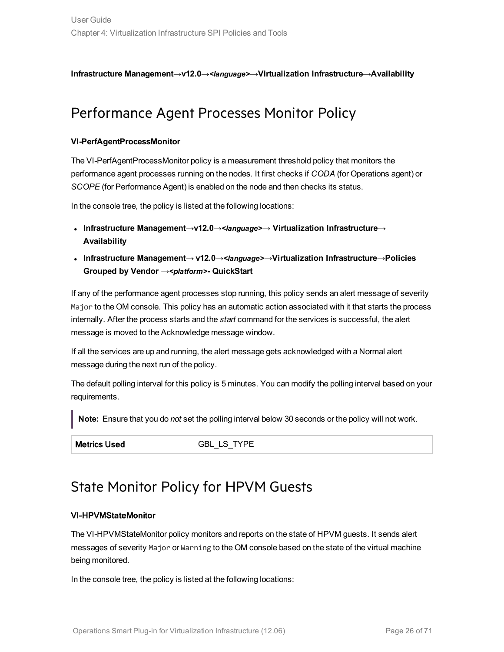<span id="page-25-0"></span>**Infrastructure Management**→**v12.0**→*<language>*→**Virtualization Infrastructure**→**Availability**

### Performance Agent Processes Monitor Policy

#### **VI-PerfAgentProcessMonitor**

The VI-PerfAgentProcessMonitor policy is a measurement threshold policy that monitors the performance agent processes running on the nodes. It first checks if *CODA* (for Operations agent) or *SCOPE* (for Performance Agent) is enabled on the node and then checks its status.

In the console tree, the policy is listed at the following locations:

- <sup>l</sup> **Infrastructure Management**→**v12.0**→*<language>*→ **Virtualization Infrastructure**→ **Availability**
- <sup>l</sup> **Infrastructure Management**→ **v12.0**→*<language>*→**Virtualization Infrastructure**→**Policies Grouped by Vendor** →*<platform>***- QuickStart**

If any of the performance agent processes stop running, this policy sends an alert message of severity Major to the OM console. This policy has an automatic action associated with it that starts the process internally. After the process starts and the *start* command for the services is successful, the alert message is moved to the Acknowledge message window.

If all the services are up and running, the alert message gets acknowledged with a Normal alert message during the next run of the policy.

The default polling interval for this policy is 5 minutes. You can modify the polling interval based on your requirements.

**Note:** Ensure that you do *not* set the polling interval below 30 seconds or the policy will not work.

<span id="page-25-1"></span>Metrics Used GBL\_LS\_TYPE

### State Monitor Policy for HPVM Guests

#### VI-HPVMStateMonitor

The VI-HPVMStateMonitor policy monitors and reports on the state of HPVM guests. It sends alert messages of severity Major or Warning to the OM console based on the state of the virtual machine being monitored.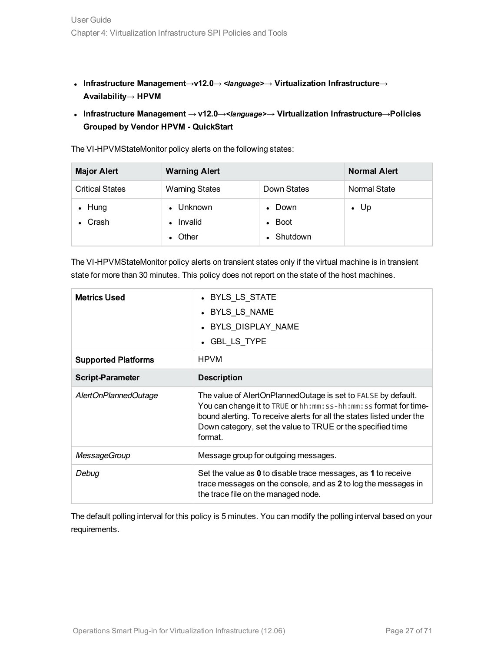- <sup>l</sup> **Infrastructure Management**→**v12.0**→ *<language>*→ **Virtualization Infrastructure**→ **Availability**→ **HPVM**
- <sup>l</sup> **Infrastructure Management** → **v12.0**→*<language>*→ **Virtualization Infrastructure**→**Policies Grouped by Vendor HPVM - QuickStart**

The VI-HPVMStateMonitor policy alerts on the following states:

| <b>Major Alert</b>     | <b>Warning Alert</b>  |                | <b>Normal Alert</b> |
|------------------------|-----------------------|----------------|---------------------|
| <b>Critical States</b> | <b>Warning States</b> | Down States    | Normal State        |
| $\bullet$ Hung         | • Unknown             | $\bullet$ Down | $\bullet$ Up        |
| Crash                  | Invalid<br>$\bullet$  | $\bullet$ Boot |                     |
|                        | Other                 | Shutdown       |                     |

The VI-HPVMStateMonitor policy alerts on transient states only if the virtual machine is in transient state for more than 30 minutes. This policy does not report on the state of the host machines.

| <b>Metrics Used</b>        | • BYLS_LS_STATE<br>• BYLS LS NAME<br>• BYLS_DISPLAY_NAME<br>• GBL LS TYPE                                                                                                                                                                                                              |
|----------------------------|----------------------------------------------------------------------------------------------------------------------------------------------------------------------------------------------------------------------------------------------------------------------------------------|
| <b>Supported Platforms</b> | <b>HPVM</b>                                                                                                                                                                                                                                                                            |
| <b>Script-Parameter</b>    | <b>Description</b>                                                                                                                                                                                                                                                                     |
| AlertOnPlannedOutage       | The value of AlertOnPlannedOutage is set to FALSE by default.<br>You can change it to TRUE or hh: mm: ss-hh: mm: ss format for time-<br>bound alerting. To receive alerts for all the states listed under the<br>Down category, set the value to TRUE or the specified time<br>format. |
| <b>MessageGroup</b>        | Message group for outgoing messages.                                                                                                                                                                                                                                                   |
| Debug                      | Set the value as 0 to disable trace messages, as 1 to receive<br>trace messages on the console, and as 2 to log the messages in<br>the trace file on the managed node.                                                                                                                 |

The default polling interval for this policy is 5 minutes. You can modify the polling interval based on your requirements.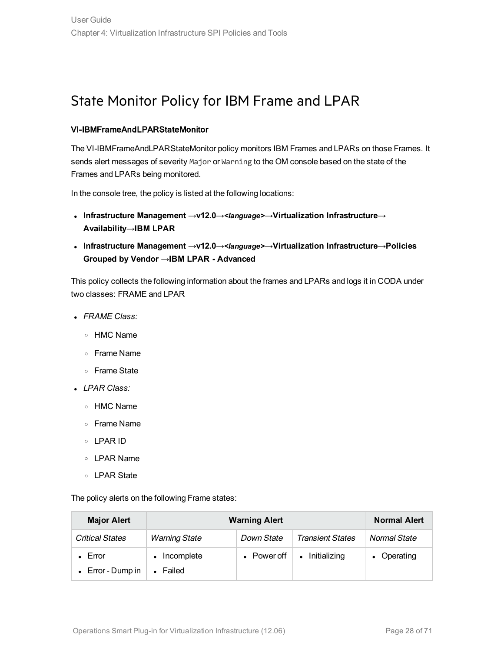### <span id="page-27-0"></span>State Monitor Policy for IBM Frame and LPAR

#### VI-IBMFrameAndLPARStateMonitor

The VI-IBMFrameAndLPARStateMonitor policy monitors IBM Frames and LPARs on those Frames. It sends alert messages of severity Major or Warning to the OM console based on the state of the Frames and LPARs being monitored.

In the console tree, the policy is listed at the following locations:

- <sup>l</sup> **Infrastructure Management** →**v12.0**→*<language>*→**Virtualization Infrastructure**→ **Availability**→**IBM LPAR**
- <sup>l</sup> **Infrastructure Management** →**v12.0**→*<language>*→**Virtualization Infrastructure**→**Policies Grouped by Vendor** →**IBM LPAR - Advanced**

This policy collects the following information about the frames and LPARs and logs it in CODA under two classes: FRAME and LPAR

- <sup>l</sup> *FRAME Class:*
	- <sup>o</sup> HMC Name
	- <sup>o</sup> Frame Name
	- <sup>o</sup> Frame State
- <sup>l</sup> *LPAR Class:*
	- <sup>o</sup> HMC Name
	- <sup>o</sup> Frame Name
	- <sup>o</sup> LPAR ID
	- <sup>o</sup> LPAR Name
	- <sup>o</sup> LPAR State

The policy alerts on the following Frame states:

| <b>Major Alert</b>        | <b>Warning Alert</b>    |             | <b>Normal Alert</b>     |              |
|---------------------------|-------------------------|-------------|-------------------------|--------------|
| <b>Critical States</b>    | <b>Warning State</b>    | Down State  | <b>Transient States</b> | Normal State |
| Error                     | Incomplete<br>$\bullet$ | • Power off | • Initializing          | • Operating  |
| $\bullet$ Error - Dump in | Failed<br>$\bullet$     |             |                         |              |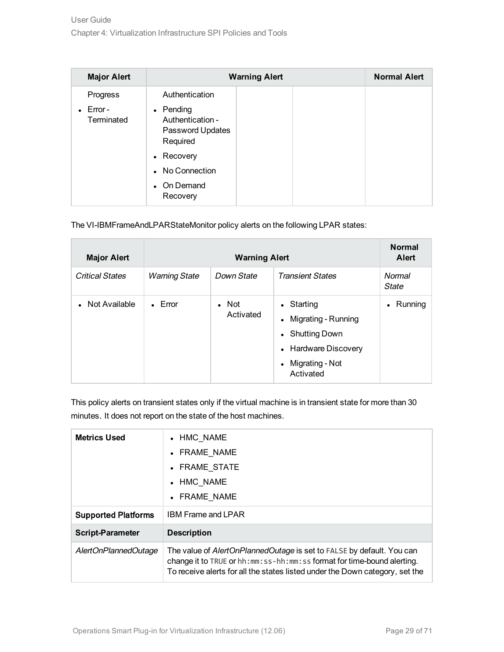| <b>Major Alert</b>              | <b>Warning Alert</b>                                          |  | <b>Normal Alert</b> |  |
|---------------------------------|---------------------------------------------------------------|--|---------------------|--|
| Progress                        | Authentication                                                |  |                     |  |
| $\bullet$ Error -<br>Terminated | • Pending<br>Authentication -<br>Password Updates<br>Required |  |                     |  |
|                                 | • Recovery                                                    |  |                     |  |
|                                 | • No Connection                                               |  |                     |  |
|                                 | • On Demand<br>Recovery                                       |  |                     |  |

The VI-IBMFrameAndLPARStateMonitor policy alerts on the following LPAR states:

| <b>Major Alert</b>     |                      | <b>Warning Alert</b>       |                                                                                                                | <b>Normal</b><br><b>Alert</b> |
|------------------------|----------------------|----------------------------|----------------------------------------------------------------------------------------------------------------|-------------------------------|
| <b>Critical States</b> | <b>Warning State</b> | Down State                 | <b>Transient States</b>                                                                                        | Normal<br>State               |
| Not Available          | $\bullet$ Error      | $\bullet$ Not<br>Activated | • Starting<br>• Migrating - Running<br>• Shutting Down<br>• Hardware Discovery<br>Migrating - Not<br>Activated | Running                       |

This policy alerts on transient states only if the virtual machine is in transient state for more than 30 minutes. It does not report on the state of the host machines.

| <b>Metrics Used</b>        | • HMC NAME<br>• FRAME NAME<br>• FRAME STATE<br>• HMC NAME                                                                                                                                                                       |
|----------------------------|---------------------------------------------------------------------------------------------------------------------------------------------------------------------------------------------------------------------------------|
|                            | • FRAME NAME                                                                                                                                                                                                                    |
| <b>Supported Platforms</b> | <b>IBM Frame and LPAR</b>                                                                                                                                                                                                       |
| <b>Script-Parameter</b>    | <b>Description</b>                                                                                                                                                                                                              |
| AlertOnPlannedOutage       | The value of AlertOnPlannedOutage is set to FALSE by default. You can<br>change it to TRUE or hh:mm:ss-hh:mm:ss format for time-bound alerting.<br>To receive alerts for all the states listed under the Down category, set the |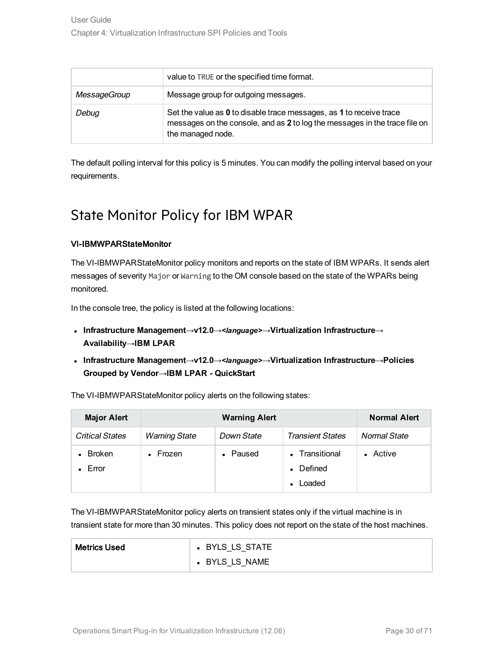|              | value to TRUE or the specified time format.                                                                                                                            |
|--------------|------------------------------------------------------------------------------------------------------------------------------------------------------------------------|
| MessageGroup | Message group for outgoing messages.                                                                                                                                   |
| Debug        | Set the value as 0 to disable trace messages, as 1 to receive trace<br>messages on the console, and as 2 to log the messages in the trace file on<br>the managed node. |

<span id="page-29-0"></span>The default polling interval for this policy is 5 minutes. You can modify the polling interval based on your requirements.

### State Monitor Policy for IBM WPAR

#### VI-IBMWPARStateMonitor

The VI-IBMWPARStateMonitor policy monitors and reports on the state of IBM WPARs. It sends alert messages of severity Major or Warning to the OM console based on the state of the WPARs being monitored.

In the console tree, the policy is listed at the following locations:

- <sup>l</sup> **Infrastructure Management**→**v12.0**→*<language>*→**Virtualization Infrastructure**→ **Availability**→**IBM LPAR**
- <sup>l</sup> **Infrastructure Management**→**v12.0**→*<language>*→**Virtualization Infrastructure**→**Policies Grouped by Vendor**→**IBM LPAR - QuickStart**

The VI-IBMWPARStateMonitor policy alerts on the following states:

| <b>Major Alert</b>     | <b>Warning Alert</b> |            | <b>Normal Alert</b>                 |              |
|------------------------|----------------------|------------|-------------------------------------|--------------|
| <b>Critical States</b> | <b>Warning State</b> | Down State | <b>Transient States</b>             | Normal State |
| <b>Broken</b><br>Error | Frozen<br>$\bullet$  | • Paused   | • Transitional<br>Defined<br>Loaded | • Active     |

The VI-IBMWPARStateMonitor policy alerts on transient states only if the virtual machine is in transient state for more than 30 minutes. This policy does not report on the state of the host machines.

| <b>Metrics Used</b> | • BYLS LS STATE |
|---------------------|-----------------|
|                     | • BYLS LS NAME  |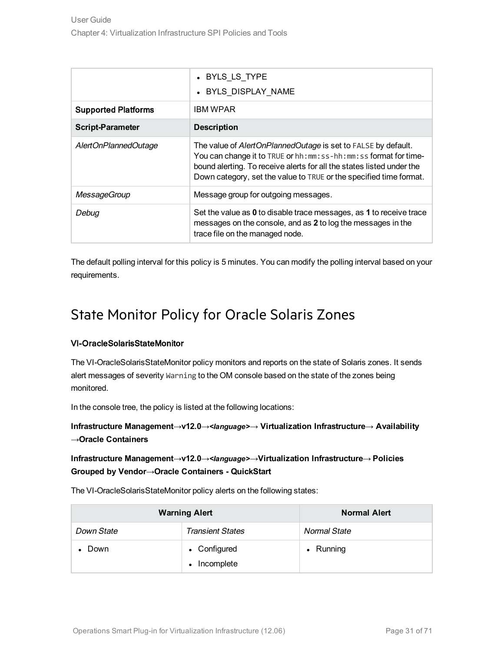|                            | • BYLS LS TYPE<br>• BYLS DISPLAY NAME                                                                                                                                                                                                                                           |
|----------------------------|---------------------------------------------------------------------------------------------------------------------------------------------------------------------------------------------------------------------------------------------------------------------------------|
| <b>Supported Platforms</b> | IBM WPAR                                                                                                                                                                                                                                                                        |
| <b>Script-Parameter</b>    | <b>Description</b>                                                                                                                                                                                                                                                              |
| AlertOnPlannedOutage       | The value of AlertOnPlannedOutage is set to FALSE by default.<br>You can change it to TRUE or hh:mm:ss-hh:mm:ss format for time-<br>bound alerting. To receive alerts for all the states listed under the<br>Down category, set the value to TRUE or the specified time format. |
| <b>MessageGroup</b>        | Message group for outgoing messages.                                                                                                                                                                                                                                            |
| Debua                      | Set the value as 0 to disable trace messages, as 1 to receive trace<br>messages on the console, and as 2 to log the messages in the<br>trace file on the managed node.                                                                                                          |

<span id="page-30-0"></span>The default polling interval for this policy is 5 minutes. You can modify the polling interval based on your requirements.

### State Monitor Policy for Oracle Solaris Zones

#### VI-OracleSolarisStateMonitor

The VI-OracleSolarisStateMonitor policy monitors and reports on the state of Solaris zones. It sends alert messages of severity Warning to the OM console based on the state of the zones being monitored.

In the console tree, the policy is listed at the following locations:

**Infrastructure Management**→**v12.0**→*<language>*→ **Virtualization Infrastructure**→ **Availability** →**Oracle Containers**

#### **Infrastructure Management**→**v12.0**→*<language>*→**Virtualization Infrastructure**→ **Policies Grouped by Vendor**→**Oracle Containers - QuickStart**

The VI-OracleSolarisStateMonitor policy alerts on the following states:

|            | <b>Warning Alert</b>                    | <b>Normal Alert</b> |
|------------|-----------------------------------------|---------------------|
| Down State | <b>Transient States</b>                 | <b>Normal State</b> |
| Down       | • Configured<br>Incomplete<br>$\bullet$ | $\bullet$ Running   |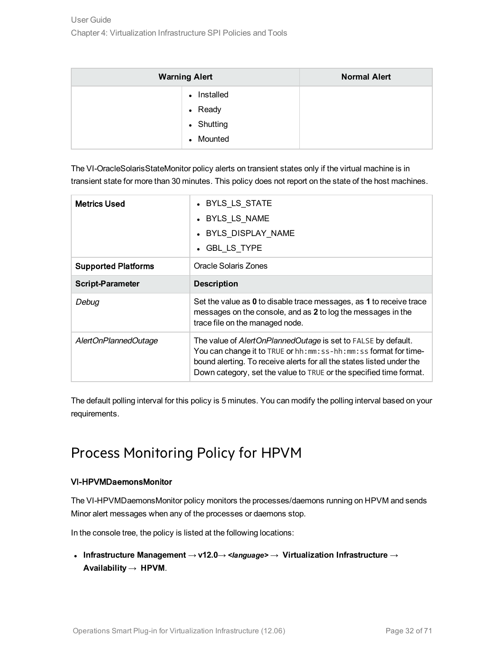| <b>Warning Alert</b>      | <b>Normal Alert</b> |
|---------------------------|---------------------|
| Installed<br>$\bullet$    |                     |
| • Ready                   |                     |
| • Shutting                |                     |
| Mounted<br>$\blacksquare$ |                     |

The VI-OracleSolarisStateMonitor policy alerts on transient states only if the virtual machine is in transient state for more than 30 minutes. This policy does not report on the state of the host machines.

| <b>Metrics Used</b>        | • BYLS LS STATE<br>• BYLS LS NAME<br>• BYLS DISPLAY NAME<br>• GBL LS TYPE                                                                                                                                                                                                           |
|----------------------------|-------------------------------------------------------------------------------------------------------------------------------------------------------------------------------------------------------------------------------------------------------------------------------------|
| <b>Supported Platforms</b> | <b>Oracle Solaris Zones</b>                                                                                                                                                                                                                                                         |
| <b>Script-Parameter</b>    | <b>Description</b>                                                                                                                                                                                                                                                                  |
| Debug                      | Set the value as 0 to disable trace messages, as 1 to receive trace<br>messages on the console, and as 2 to log the messages in the<br>trace file on the managed node.                                                                                                              |
| AlertOnPlannedOutage       | The value of AlertOnPlannedOutage is set to FALSE by default.<br>You can change it to TRUE or hh: mm: ss-hh: mm: ss format for time-<br>bound alerting. To receive alerts for all the states listed under the<br>Down category, set the value to TRUE or the specified time format. |

The default polling interval for this policy is 5 minutes. You can modify the polling interval based on your requirements.

### <span id="page-31-0"></span>Process Monitoring Policy for HPVM

#### VI-HPVMDaemonsMonitor

The VI-HPVMDaemonsMonitor policy monitors the processes/daemons running on HPVM and sends Minor alert messages when any of the processes or daemons stop.

In the console tree, the policy is listed at the following locations:

<sup>l</sup> **Infrastructure Management** → **v12.0**→ *<language>* → **Virtualization Infrastructure** → **Availability** → **HPVM**.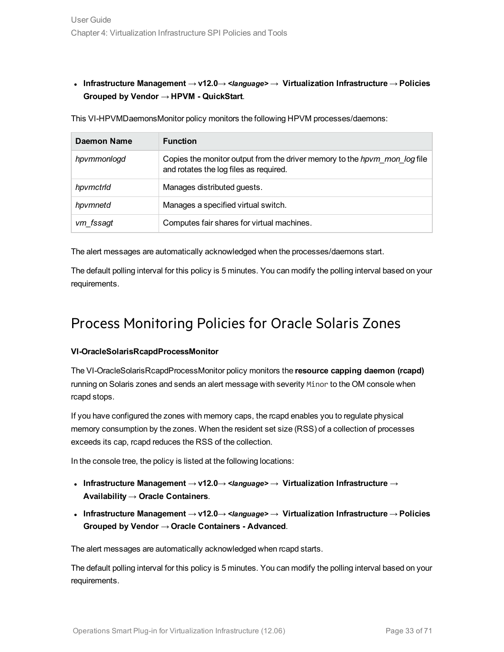<sup>l</sup> **Infrastructure Management** → **v12.0**→ *<language>* → **Virtualization Infrastructure** → **Policies Grouped by Vendor** → **HPVM - QuickStart**.

This VI-HPVMDaemonsMonitor policy monitors the following HPVM processes/daemons:

| Daemon Name | <b>Function</b>                                                                                                            |
|-------------|----------------------------------------------------------------------------------------------------------------------------|
| hpvmmonlogd | Copies the monitor output from the driver memory to the <i>hpvm mon log</i> file<br>and rotates the log files as required. |
| hpvmctrld   | Manages distributed guests.                                                                                                |
| hpvmnetd    | Manages a specified virtual switch.                                                                                        |
| vm_fssagt   | Computes fair shares for virtual machines.                                                                                 |

The alert messages are automatically acknowledged when the processes/daemons start.

<span id="page-32-0"></span>The default polling interval for this policy is 5 minutes. You can modify the polling interval based on your requirements.

### Process Monitoring Policies for Oracle Solaris Zones

#### **VI-OracleSolarisRcapdProcessMonitor**

The VI-OracleSolarisRcapdProcessMonitor policy monitors the **resource capping daemon (rcapd)** running on Solaris zones and sends an alert message with severity Minor to the OM console when rcapd stops.

If you have configured the zones with memory caps, the rcapd enables you to regulate physical memory consumption by the zones. When the resident set size (RSS) of a collection of processes exceeds its cap, rcapd reduces the RSS of the collection.

In the console tree, the policy is listed at the following locations:

- <sup>l</sup> **Infrastructure Management** → **v12.0**→ *<language>* → **Virtualization Infrastructure** → **Availability** → **Oracle Containers**.
- <sup>l</sup> **Infrastructure Management** → **v12.0**→ *<language>* → **Virtualization Infrastructure** → **Policies Grouped by Vendor** → **Oracle Containers - Advanced**.

The alert messages are automatically acknowledged when rcapd starts.

The default polling interval for this policy is 5 minutes. You can modify the polling interval based on your requirements.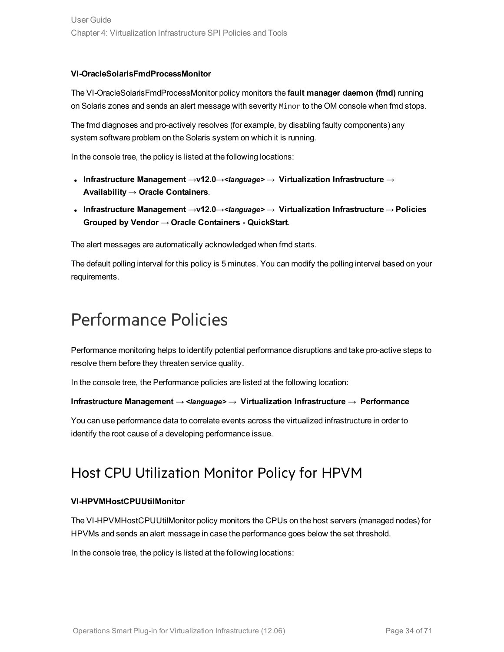#### **VI-OracleSolarisFmdProcessMonitor**

The VI-OracleSolarisFmdProcessMonitor policy monitors the **fault manager daemon (fmd)** running on Solaris zones and sends an alert message with severity Minor to the OM console when fmd stops.

The fmd diagnoses and pro-actively resolves (for example, by disabling faulty components) any system software problem on the Solaris system on which it is running.

In the console tree, the policy is listed at the following locations:

- <sup>l</sup> **Infrastructure Management** →**v12.0**→*<language>* → **Virtualization Infrastructure** → **Availability** → **Oracle Containers**.
- <sup>l</sup> **Infrastructure Management** →**v12.0**→*<language>* → **Virtualization Infrastructure** → **Policies Grouped by Vendor** → **Oracle Containers - QuickStart**.

The alert messages are automatically acknowledged when fmd starts.

The default polling interval for this policy is 5 minutes. You can modify the polling interval based on your requirements.

## <span id="page-33-0"></span>Performance Policies

Performance monitoring helps to identify potential performance disruptions and take pro-active steps to resolve them before they threaten service quality.

In the console tree, the Performance policies are listed at the following location:

#### **Infrastructure Management** → *<language>* → **Virtualization Infrastructure** → **Performance**

<span id="page-33-1"></span>You can use performance data to correlate events across the virtualized infrastructure in order to identify the root cause of a developing performance issue.

### Host CPU Utilization Monitor Policy for HPVM

#### **VI-HPVMHostCPUUtilMonitor**

The VI-HPVMHostCPUUtilMonitor policy monitors the CPUs on the host servers (managed nodes) for HPVMs and sends an alert message in case the performance goes below the set threshold.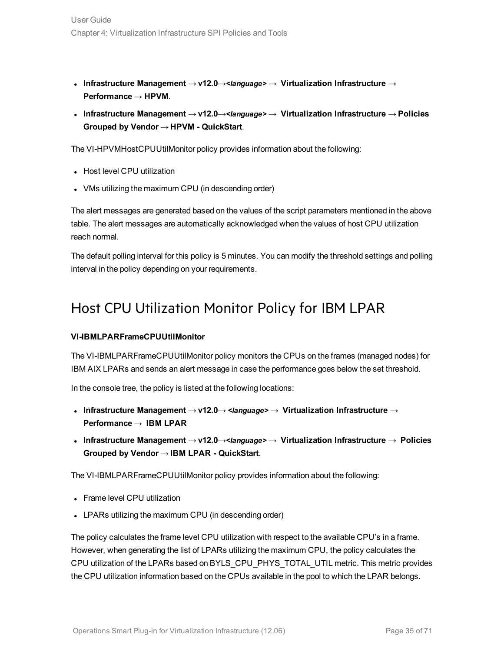- <sup>l</sup> **Infrastructure Management** → **v12.0**→*<language>* → **Virtualization Infrastructure** → **Performance** → **HPVM**.
- <sup>l</sup> **Infrastructure Management** → **v12.0**→*<language>* → **Virtualization Infrastructure** → **Policies Grouped by Vendor** → **HPVM - QuickStart**.

The VI-HPVMHostCPUUtilMonitor policy provides information about the following:

- Host level CPU utilization
- VMs utilizing the maximum CPU (in descending order)

The alert messages are generated based on the values of the script parameters mentioned in the above table. The alert messages are automatically acknowledged when the values of host CPU utilization reach normal.

<span id="page-34-0"></span>The default polling interval for this policy is 5 minutes. You can modify the threshold settings and polling interval in the policy depending on your requirements.

### Host CPU Utilization Monitor Policy for IBM LPAR

#### **VI-IBMLPARFrameCPUUtilMonitor**

The VI-IBMLPARFrameCPUUtilMonitor policy monitors the CPUs on the frames (managed nodes) for IBM AIX LPARs and sends an alert message in case the performance goes below the set threshold.

In the console tree, the policy is listed at the following locations:

- <sup>l</sup> **Infrastructure Management** → **v12.0**→ *<language>* → **Virtualization Infrastructure** → **Performance** → **IBM LPAR**
- <sup>l</sup> **Infrastructure Management** → **v12.0**→*<language>* → **Virtualization Infrastructure** → **Policies Grouped by Vendor** → **IBM LPAR - QuickStart**.

The VI-IBMLPARFrameCPUUtilMonitor policy provides information about the following:

- Frame level CPU utilization
- LPARs utilizing the maximum CPU (in descending order)

The policy calculates the frame level CPU utilization with respect to the available CPU's in a frame. However, when generating the list of LPARs utilizing the maximum CPU, the policy calculates the CPU utilization of the LPARs based on BYLS\_CPU\_PHYS\_TOTAL\_UTIL metric. This metric provides the CPU utilization information based on the CPUs available in the pool to which the LPAR belongs.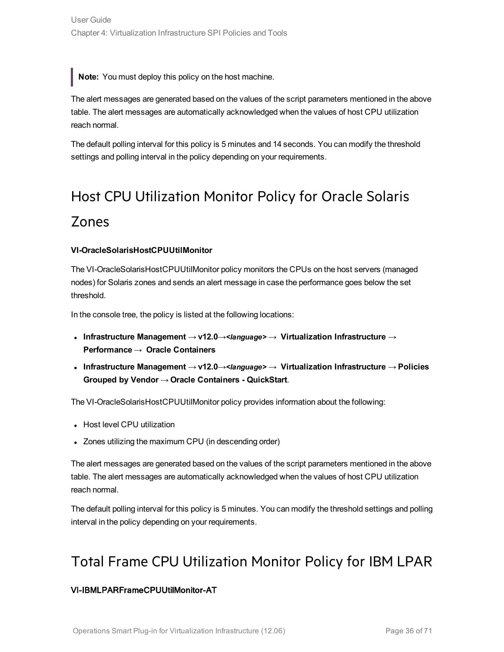**Note:** You must deploy this policy on the host machine.

The alert messages are generated based on the values of the script parameters mentioned in the above table. The alert messages are automatically acknowledged when the values of host CPU utilization reach normal.

The default polling interval for this policy is 5 minutes and 14 seconds. You can modify the threshold settings and polling interval in the policy depending on your requirements.

# <span id="page-35-0"></span>Host CPU Utilization Monitor Policy for Oracle Solaris Zones

#### **VI-OracleSolarisHostCPUUtilMonitor**

The VI-OracleSolarisHostCPUUtilMonitor policy monitors the CPUs on the host servers (managed nodes) for Solaris zones and sends an alert message in case the performance goes below the set threshold.

In the console tree, the policy is listed at the following locations:

- <sup>l</sup> **Infrastructure Management** → **v12.0**→*<language>* → **Virtualization Infrastructure** → **Performance** → **Oracle Containers**
- <sup>l</sup> **Infrastructure Management** → **v12.0**→*<language>* → **Virtualization Infrastructure** → **Policies Grouped by Vendor** → **Oracle Containers - QuickStart**.

The VI-OracleSolarisHostCPUUtilMonitor policy provides information about the following:

- Host level CPU utilization
- Zones utilizing the maximum CPU (in descending order)

The alert messages are generated based on the values of the script parameters mentioned in the above table. The alert messages are automatically acknowledged when the values of host CPU utilization reach normal.

<span id="page-35-1"></span>The default polling interval for this policy is 5 minutes. You can modify the threshold settings and polling interval in the policy depending on your requirements.

### Total Frame CPU Utilization Monitor Policy for IBM LPAR

#### VI-IBMLPARFrameCPUUtilMonitor-AT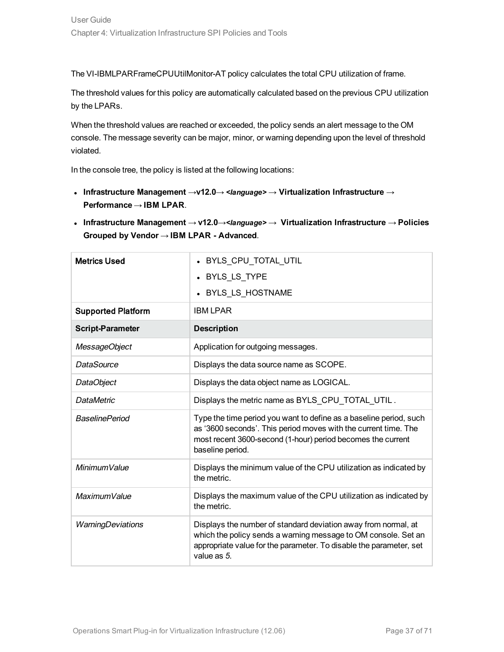The VI-IBMLPARFrameCPUUtilMonitor-AT policy calculates the total CPU utilization of frame.

The threshold values for this policy are automatically calculated based on the previous CPU utilization by the LPARs.

When the threshold values are reached or exceeded, the policy sends an alert message to the OM console. The message severity can be major, minor, or warning depending upon the level of threshold violated.

In the console tree, the policy is listed at the following locations:

<sup>l</sup> **Infrastructure Management** →**v12.0**→ *<language>* → **Virtualization Infrastructure** → **Performance** → **IBM LPAR**.

| <b>Metrics Used</b>       | • BYLS_CPU_TOTAL_UTIL                                                                                                                                                                                                    |
|---------------------------|--------------------------------------------------------------------------------------------------------------------------------------------------------------------------------------------------------------------------|
|                           | • BYLS_LS_TYPE                                                                                                                                                                                                           |
|                           | • BYLS_LS_HOSTNAME                                                                                                                                                                                                       |
| <b>Supported Platform</b> | <b>IBM LPAR</b>                                                                                                                                                                                                          |
| <b>Script-Parameter</b>   | <b>Description</b>                                                                                                                                                                                                       |
| MessageObject             | Application for outgoing messages.                                                                                                                                                                                       |
| <b>DataSource</b>         | Displays the data source name as SCOPE.                                                                                                                                                                                  |
| DataObject                | Displays the data object name as LOGICAL.                                                                                                                                                                                |
| <b>DataMetric</b>         | Displays the metric name as BYLS CPU TOTAL UTIL.                                                                                                                                                                         |
| <b>BaselinePeriod</b>     | Type the time period you want to define as a baseline period, such<br>as '3600 seconds'. This period moves with the current time. The<br>most recent 3600-second (1-hour) period becomes the current<br>baseline period. |
| Minimum Value             | Displays the minimum value of the CPU utilization as indicated by<br>the metric.                                                                                                                                         |
| MaximumValue              | Displays the maximum value of the CPU utilization as indicated by<br>the metric.                                                                                                                                         |
| WarningDeviations         | Displays the number of standard deviation away from normal, at<br>which the policy sends a warning message to OM console. Set an<br>appropriate value for the parameter. To disable the parameter, set<br>value as 5.    |

<sup>l</sup> **Infrastructure Management** → **v12.0**→*<language>* → **Virtualization Infrastructure** → **Policies Grouped by Vendor** → **IBM LPAR - Advanced**.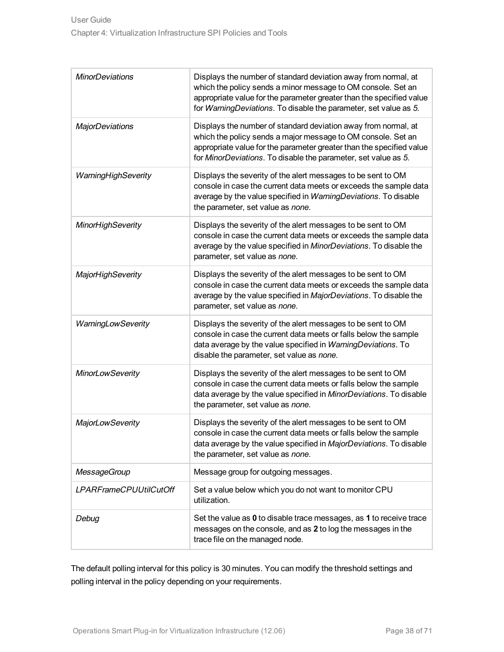| <b>MinorDeviations</b>        | Displays the number of standard deviation away from normal, at<br>which the policy sends a minor message to OM console. Set an<br>appropriate value for the parameter greater than the specified value<br>for WarningDeviations. To disable the parameter, set value as 5. |
|-------------------------------|----------------------------------------------------------------------------------------------------------------------------------------------------------------------------------------------------------------------------------------------------------------------------|
| <b>MajorDeviations</b>        | Displays the number of standard deviation away from normal, at<br>which the policy sends a major message to OM console. Set an<br>appropriate value for the parameter greater than the specified value<br>for MinorDeviations. To disable the parameter, set value as 5.   |
| WarningHighSeverity           | Displays the severity of the alert messages to be sent to OM<br>console in case the current data meets or exceeds the sample data<br>average by the value specified in WarningDeviations. To disable<br>the parameter, set value as none.                                  |
| <b>MinorHighSeverity</b>      | Displays the severity of the alert messages to be sent to OM<br>console in case the current data meets or exceeds the sample data<br>average by the value specified in MinorDeviations. To disable the<br>parameter, set value as none.                                    |
| <b>MajorHighSeverity</b>      | Displays the severity of the alert messages to be sent to OM<br>console in case the current data meets or exceeds the sample data<br>average by the value specified in MajorDeviations. To disable the<br>parameter, set value as none.                                    |
| WarningLowSeverity            | Displays the severity of the alert messages to be sent to OM<br>console in case the current data meets or falls below the sample<br>data average by the value specified in WarningDeviations. To<br>disable the parameter, set value as none.                              |
| <b>MinorLowSeverity</b>       | Displays the severity of the alert messages to be sent to OM<br>console in case the current data meets or falls below the sample<br>data average by the value specified in MinorDeviations. To disable<br>the parameter, set value as none.                                |
| <b>MajorLowSeverity</b>       | Displays the severity of the alert messages to be sent to OM<br>console in case the current data meets or falls below the sample<br>data average by the value specified in MajorDeviations. To disable<br>the parameter, set value as none.                                |
| <b>MessageGroup</b>           | Message group for outgoing messages.                                                                                                                                                                                                                                       |
| <b>LPARFrameCPUUtilCutOff</b> | Set a value below which you do not want to monitor CPU<br>utilization.                                                                                                                                                                                                     |
| Debug                         | Set the value as 0 to disable trace messages, as 1 to receive trace<br>messages on the console, and as 2 to log the messages in the<br>trace file on the managed node.                                                                                                     |

The default polling interval for this policy is 30 minutes. You can modify the threshold settings and polling interval in the policy depending on your requirements.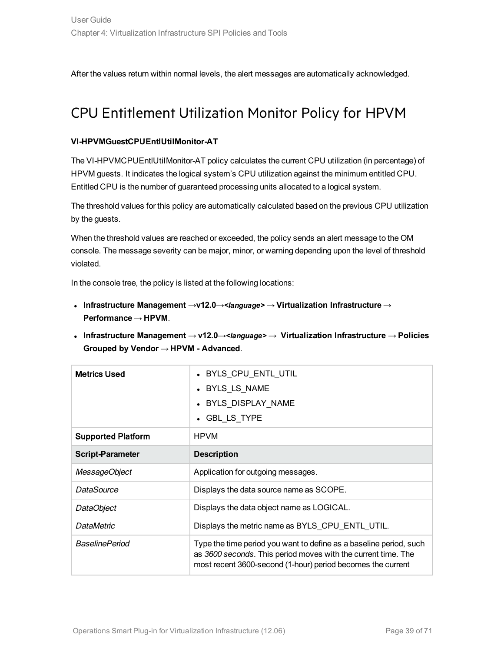<span id="page-38-0"></span>After the values return within normal levels, the alert messages are automatically acknowledged.

### CPU Entitlement Utilization Monitor Policy for HPVM

#### **VI-HPVMGuestCPUEntlUtilMonitor-AT**

The VI-HPVMCPUEntlUtiIMonitor-AT policy calculates the current CPU utilization (in percentage) of HPVM guests. It indicates the logical system's CPU utilization against the minimum entitled CPU. Entitled CPU is the number of guaranteed processing units allocated to a logical system.

The threshold values for this policy are automatically calculated based on the previous CPU utilization by the guests.

When the threshold values are reached or exceeded, the policy sends an alert message to the OM console. The message severity can be major, minor, or warning depending upon the level of threshold violated.

- <sup>l</sup> **Infrastructure Management** →**v12.0**→*<language>* → **Virtualization Infrastructure** → **Performance** → **HPVM**.
- <sup>l</sup> **Infrastructure Management** → **v12.0**→*<language>* → **Virtualization Infrastructure** → **Policies Grouped by Vendor** → **HPVM - Advanced**.

| <b>Metrics Used</b>       | • BYLS CPU ENTL UTIL<br>• BYLS LS NAME<br>• BYLS DISPLAY NAME<br>• GBL LS TYPE                                                                                                                     |
|---------------------------|----------------------------------------------------------------------------------------------------------------------------------------------------------------------------------------------------|
| <b>Supported Platform</b> | <b>HPVM</b>                                                                                                                                                                                        |
| <b>Script-Parameter</b>   | <b>Description</b>                                                                                                                                                                                 |
| MessageObject             | Application for outgoing messages.                                                                                                                                                                 |
| DataSource                | Displays the data source name as SCOPE.                                                                                                                                                            |
| DataObject                | Displays the data object name as LOGICAL.                                                                                                                                                          |
| <b>DataMetric</b>         | Displays the metric name as BYLS_CPU_ENTL_UTIL.                                                                                                                                                    |
| <b>BaselinePeriod</b>     | Type the time period you want to define as a baseline period, such<br>as 3600 seconds. This period moves with the current time. The<br>most recent 3600-second (1-hour) period becomes the current |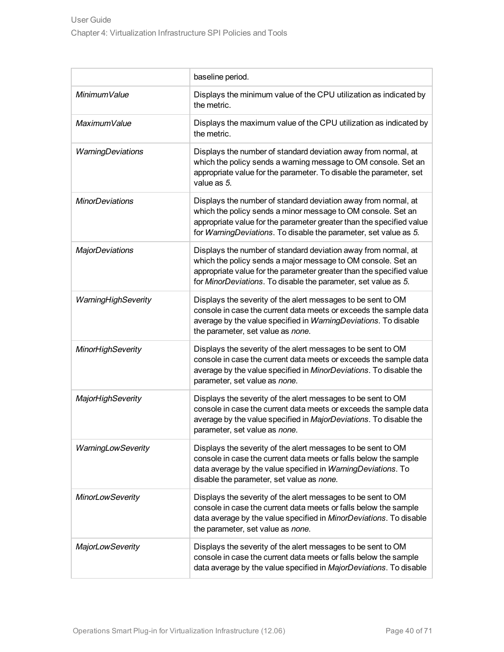|                          | baseline period.                                                                                                                                                                                                                                                           |
|--------------------------|----------------------------------------------------------------------------------------------------------------------------------------------------------------------------------------------------------------------------------------------------------------------------|
| MinimumValue             | Displays the minimum value of the CPU utilization as indicated by<br>the metric.                                                                                                                                                                                           |
| MaximumValue             | Displays the maximum value of the CPU utilization as indicated by<br>the metric.                                                                                                                                                                                           |
| WarningDeviations        | Displays the number of standard deviation away from normal, at<br>which the policy sends a warning message to OM console. Set an<br>appropriate value for the parameter. To disable the parameter, set<br>value as 5.                                                      |
| <b>MinorDeviations</b>   | Displays the number of standard deviation away from normal, at<br>which the policy sends a minor message to OM console. Set an<br>appropriate value for the parameter greater than the specified value<br>for WarningDeviations. To disable the parameter, set value as 5. |
| <b>MajorDeviations</b>   | Displays the number of standard deviation away from normal, at<br>which the policy sends a major message to OM console. Set an<br>appropriate value for the parameter greater than the specified value<br>for MinorDeviations. To disable the parameter, set value as 5.   |
| WarningHighSeverity      | Displays the severity of the alert messages to be sent to OM<br>console in case the current data meets or exceeds the sample data<br>average by the value specified in WarningDeviations. To disable<br>the parameter, set value as none.                                  |
| <b>MinorHighSeverity</b> | Displays the severity of the alert messages to be sent to OM<br>console in case the current data meets or exceeds the sample data<br>average by the value specified in MinorDeviations. To disable the<br>parameter, set value as none.                                    |
| <b>MajorHighSeverity</b> | Displays the severity of the alert messages to be sent to OM<br>console in case the current data meets or exceeds the sample data<br>average by the value specified in MajorDeviations. To disable the<br>parameter, set value as none.                                    |
| WarningLowSeverity       | Displays the severity of the alert messages to be sent to OM<br>console in case the current data meets or falls below the sample<br>data average by the value specified in WarningDeviations. To<br>disable the parameter, set value as none.                              |
| <b>MinorLowSeverity</b>  | Displays the severity of the alert messages to be sent to OM<br>console in case the current data meets or falls below the sample<br>data average by the value specified in MinorDeviations. To disable<br>the parameter, set value as none.                                |
| <b>MajorLowSeverity</b>  | Displays the severity of the alert messages to be sent to OM<br>console in case the current data meets or falls below the sample<br>data average by the value specified in MajorDeviations. To disable                                                                     |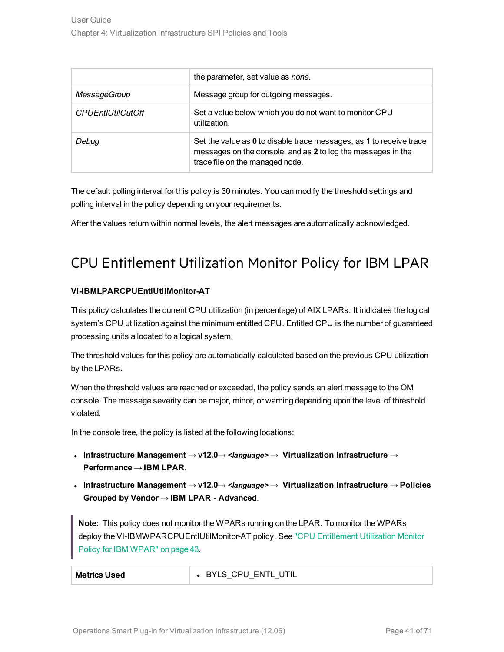|                          | the parameter, set value as none.                                                                                                                                      |
|--------------------------|------------------------------------------------------------------------------------------------------------------------------------------------------------------------|
| <b>MessageGroup</b>      | Message group for outgoing messages.                                                                                                                                   |
| <b>CPUEntIUtilCutOff</b> | Set a value below which you do not want to monitor CPU<br>utilization.                                                                                                 |
| Debug                    | Set the value as 0 to disable trace messages, as 1 to receive trace<br>messages on the console, and as 2 to log the messages in the<br>trace file on the managed node. |

The default polling interval for this policy is 30 minutes. You can modify the threshold settings and polling interval in the policy depending on your requirements.

<span id="page-40-0"></span>After the values return within normal levels, the alert messages are automatically acknowledged.

### CPU Entitlement Utilization Monitor Policy for IBM LPAR

#### **VI-IBMLPARCPUEntlUtilMonitor-AT**

This policy calculates the current CPU utilization (in percentage) of AIX LPARs. It indicates the logical system's CPU utilization against the minimum entitled CPU. Entitled CPU is the number of guaranteed processing units allocated to a logical system.

The threshold values for this policy are automatically calculated based on the previous CPU utilization by the LPARs.

When the threshold values are reached or exceeded, the policy sends an alert message to the OM console. The message severity can be major, minor, or warning depending upon the level of threshold violated.

In the console tree, the policy is listed at the following locations:

- <sup>l</sup> **Infrastructure Management** → **v12.0**→ *<language>* → **Virtualization Infrastructure** → **Performance** → **IBM LPAR**.
- <sup>l</sup> **Infrastructure Management** → **v12.0**→ *<language>* → **Virtualization Infrastructure** → **Policies Grouped by Vendor** → **IBM LPAR - Advanced**.

**Note:** This policy does not monitor the WPARs running on the LPAR. To monitor the WPARs deploy the VI-IBMWPARCPUEntlUtilMonitor-AT policy. See "CPU [Entitlement](#page-42-0) Utilization Monitor Policy for IBM [WPAR"](#page-42-0) on page 43.

| <b>Metrics Used</b> | ' UTIL<br>ENTL<br>BYLS CPU |
|---------------------|----------------------------|
|---------------------|----------------------------|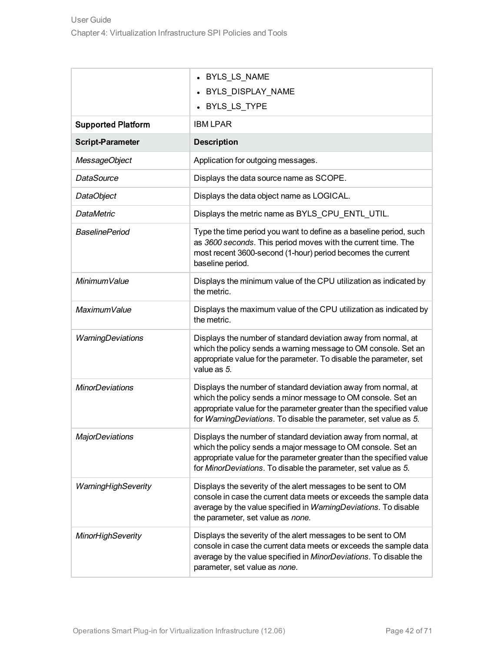|                           | • BYLS_LS_NAME                                                                                                                                                                                                                                                             |
|---------------------------|----------------------------------------------------------------------------------------------------------------------------------------------------------------------------------------------------------------------------------------------------------------------------|
|                           | BYLS_DISPLAY_NAME<br>• BYLS_LS_TYPE                                                                                                                                                                                                                                        |
| <b>Supported Platform</b> | <b>IBM LPAR</b>                                                                                                                                                                                                                                                            |
| <b>Script-Parameter</b>   | <b>Description</b>                                                                                                                                                                                                                                                         |
|                           |                                                                                                                                                                                                                                                                            |
| MessageObject             | Application for outgoing messages.                                                                                                                                                                                                                                         |
| <b>DataSource</b>         | Displays the data source name as SCOPE.                                                                                                                                                                                                                                    |
| DataObject                | Displays the data object name as LOGICAL.                                                                                                                                                                                                                                  |
| <b>DataMetric</b>         | Displays the metric name as BYLS_CPU_ENTL_UTIL.                                                                                                                                                                                                                            |
| <b>BaselinePeriod</b>     | Type the time period you want to define as a baseline period, such<br>as 3600 seconds. This period moves with the current time. The<br>most recent 3600-second (1-hour) period becomes the current<br>baseline period.                                                     |
| MinimumValue              | Displays the minimum value of the CPU utilization as indicated by<br>the metric.                                                                                                                                                                                           |
| MaximumValue              | Displays the maximum value of the CPU utilization as indicated by<br>the metric.                                                                                                                                                                                           |
| WarningDeviations         | Displays the number of standard deviation away from normal, at<br>which the policy sends a warning message to OM console. Set an<br>appropriate value for the parameter. To disable the parameter, set<br>value as 5.                                                      |
| <b>MinorDeviations</b>    | Displays the number of standard deviation away from normal, at<br>which the policy sends a minor message to OM console. Set an<br>appropriate value for the parameter greater than the specified value<br>for WarningDeviations. To disable the parameter, set value as 5. |
| <b>MajorDeviations</b>    | Displays the number of standard deviation away from normal, at<br>which the policy sends a major message to OM console. Set an<br>appropriate value for the parameter greater than the specified value<br>for MinorDeviations. To disable the parameter, set value as 5.   |
| WarningHighSeverity       | Displays the severity of the alert messages to be sent to OM<br>console in case the current data meets or exceeds the sample data<br>average by the value specified in WarningDeviations. To disable<br>the parameter, set value as none.                                  |
| <b>MinorHighSeverity</b>  | Displays the severity of the alert messages to be sent to OM<br>console in case the current data meets or exceeds the sample data<br>average by the value specified in MinorDeviations. To disable the<br>parameter, set value as none.                                    |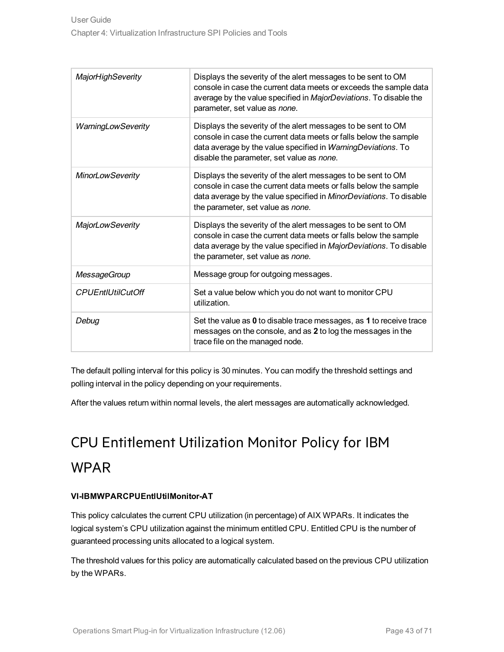| <b>MajorHighSeverity</b> | Displays the severity of the alert messages to be sent to OM<br>console in case the current data meets or exceeds the sample data<br>average by the value specified in MajorDeviations. To disable the<br>parameter, set value as none.       |
|--------------------------|-----------------------------------------------------------------------------------------------------------------------------------------------------------------------------------------------------------------------------------------------|
| WarningLowSeverity       | Displays the severity of the alert messages to be sent to OM<br>console in case the current data meets or falls below the sample<br>data average by the value specified in WarningDeviations. To<br>disable the parameter, set value as none. |
| <b>MinorLowSeverity</b>  | Displays the severity of the alert messages to be sent to OM<br>console in case the current data meets or falls below the sample<br>data average by the value specified in MinorDeviations. To disable<br>the parameter, set value as none.   |
| <b>MajorLowSeverity</b>  | Displays the severity of the alert messages to be sent to OM<br>console in case the current data meets or falls below the sample<br>data average by the value specified in MajorDeviations. To disable<br>the parameter, set value as none.   |
| <b>MessageGroup</b>      | Message group for outgoing messages.                                                                                                                                                                                                          |
| <b>CPUEntIUtilCutOff</b> | Set a value below which you do not want to monitor CPU<br>utilization.                                                                                                                                                                        |
| Debug                    | Set the value as 0 to disable trace messages, as 1 to receive trace<br>messages on the console, and as 2 to log the messages in the<br>trace file on the managed node.                                                                        |

The default polling interval for this policy is 30 minutes. You can modify the threshold settings and polling interval in the policy depending on your requirements.

<span id="page-42-0"></span>After the values return within normal levels, the alert messages are automatically acknowledged.

# CPU Entitlement Utilization Monitor Policy for IBM WPAR

#### **VI-IBMWPARCPUEntlUtilMonitor-AT**

This policy calculates the current CPU utilization (in percentage) of AIX WPARs. It indicates the logical system's CPU utilization against the minimum entitled CPU. Entitled CPU is the number of guaranteed processing units allocated to a logical system.

The threshold values for this policy are automatically calculated based on the previous CPU utilization by the WPARs.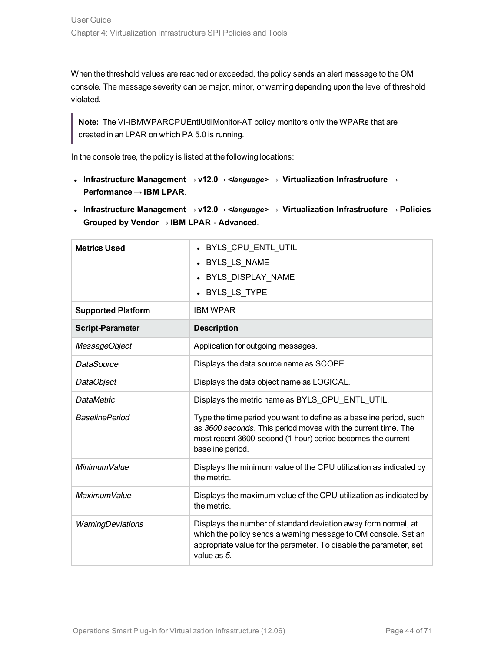When the threshold values are reached or exceeded, the policy sends an alert message to the OM console. The message severity can be major, minor, or warning depending upon the level of threshold violated.

**Note:** The VI-IBMWPARCPUEntlUtilMonitor-AT policy monitors only the WPARs that are created in an LPAR on which PA 5.0 is running.

- <sup>l</sup> **Infrastructure Management** → **v12.0**→ *<language>* → **Virtualization Infrastructure** → **Performance** → **IBM LPAR**.
- <sup>l</sup> **Infrastructure Management** → **v12.0**→ *<language>* → **Virtualization Infrastructure** → **Policies Grouped by Vendor** → **IBM LPAR - Advanced**.

| <b>Metrics Used</b>       | • BYLS CPU ENTL UTIL                                                                                                                                                                                                   |
|---------------------------|------------------------------------------------------------------------------------------------------------------------------------------------------------------------------------------------------------------------|
|                           | • BYLS_LS_NAME                                                                                                                                                                                                         |
|                           | • BYLS DISPLAY NAME                                                                                                                                                                                                    |
|                           | • BYLS LS TYPE                                                                                                                                                                                                         |
| <b>Supported Platform</b> | <b>IBM WPAR</b>                                                                                                                                                                                                        |
| <b>Script-Parameter</b>   | <b>Description</b>                                                                                                                                                                                                     |
| MessageObject             | Application for outgoing messages.                                                                                                                                                                                     |
| DataSource                | Displays the data source name as SCOPE.                                                                                                                                                                                |
| DataObject                | Displays the data object name as LOGICAL.                                                                                                                                                                              |
| <b>DataMetric</b>         | Displays the metric name as BYLS CPU ENTL UTIL.                                                                                                                                                                        |
| <b>BaselinePeriod</b>     | Type the time period you want to define as a baseline period, such<br>as 3600 seconds. This period moves with the current time. The<br>most recent 3600-second (1-hour) period becomes the current<br>baseline period. |
| Minimum Value             | Displays the minimum value of the CPU utilization as indicated by<br>the metric.                                                                                                                                       |
| MaximumValue              | Displays the maximum value of the CPU utilization as indicated by<br>the metric.                                                                                                                                       |
| WarningDeviations         | Displays the number of standard deviation away form normal, at<br>which the policy sends a warning message to OM console. Set an<br>appropriate value for the parameter. To disable the parameter, set<br>value as 5.  |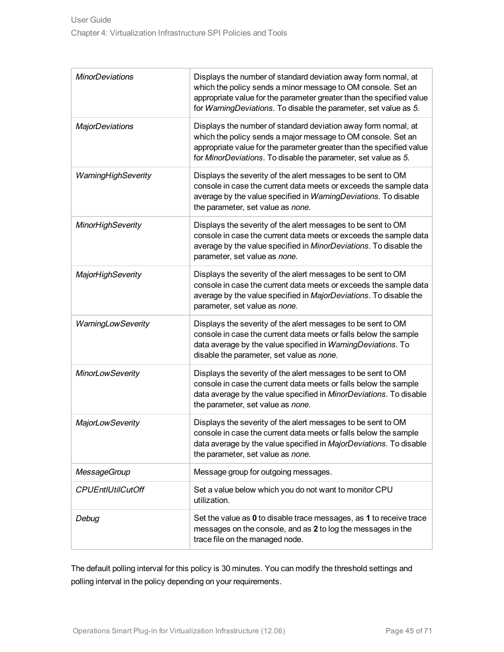| <b>MinorDeviations</b>   | Displays the number of standard deviation away form normal, at<br>which the policy sends a minor message to OM console. Set an<br>appropriate value for the parameter greater than the specified value<br>for WarningDeviations. To disable the parameter, set value as 5. |
|--------------------------|----------------------------------------------------------------------------------------------------------------------------------------------------------------------------------------------------------------------------------------------------------------------------|
| <b>MajorDeviations</b>   | Displays the number of standard deviation away form normal, at<br>which the policy sends a major message to OM console. Set an<br>appropriate value for the parameter greater than the specified value<br>for MinorDeviations. To disable the parameter, set value as 5.   |
| WarningHighSeverity      | Displays the severity of the alert messages to be sent to OM<br>console in case the current data meets or exceeds the sample data<br>average by the value specified in WarningDeviations. To disable<br>the parameter, set value as none.                                  |
| <b>MinorHighSeverity</b> | Displays the severity of the alert messages to be sent to OM<br>console in case the current data meets or exceeds the sample data<br>average by the value specified in MinorDeviations. To disable the<br>parameter, set value as none.                                    |
| <b>MajorHighSeverity</b> | Displays the severity of the alert messages to be sent to OM<br>console in case the current data meets or exceeds the sample data<br>average by the value specified in MajorDeviations. To disable the<br>parameter, set value as none.                                    |
| WarningLowSeverity       | Displays the severity of the alert messages to be sent to OM<br>console in case the current data meets or falls below the sample<br>data average by the value specified in WarningDeviations. To<br>disable the parameter, set value as none.                              |
| <b>MinorLowSeverity</b>  | Displays the severity of the alert messages to be sent to OM<br>console in case the current data meets or falls below the sample<br>data average by the value specified in MinorDeviations. To disable<br>the parameter, set value as none.                                |
| <b>MajorLowSeverity</b>  | Displays the severity of the alert messages to be sent to OM<br>console in case the current data meets or falls below the sample<br>data average by the value specified in MajorDeviations. To disable<br>the parameter, set value as none.                                |
| <b>MessageGroup</b>      | Message group for outgoing messages.                                                                                                                                                                                                                                       |
| <b>CPUEntIUtilCutOff</b> | Set a value below which you do not want to monitor CPU<br>utilization.                                                                                                                                                                                                     |
| Debug                    | Set the value as 0 to disable trace messages, as 1 to receive trace<br>messages on the console, and as 2 to log the messages in the<br>trace file on the managed node.                                                                                                     |

The default polling interval for this policy is 30 minutes. You can modify the threshold settings and polling interval in the policy depending on your requirements.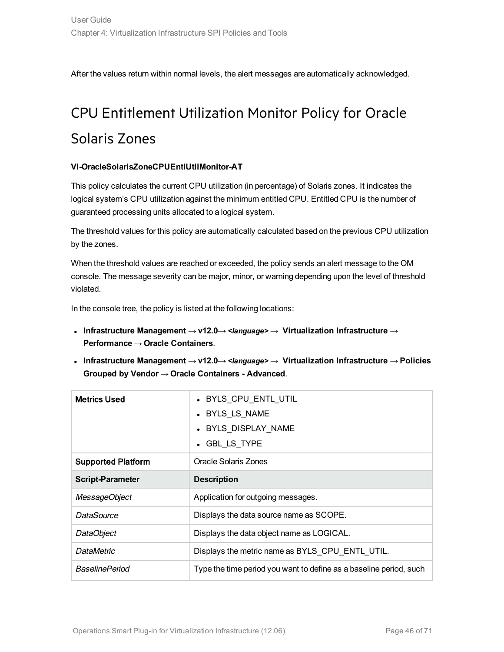<span id="page-45-0"></span>After the values return within normal levels, the alert messages are automatically acknowledged.

# CPU Entitlement Utilization Monitor Policy for Oracle Solaris Zones

#### **VI-OracleSolarisZoneCPUEntlUtilMonitor-AT**

This policy calculates the current CPU utilization (in percentage) of Solaris zones. It indicates the logical system's CPU utilization against the minimum entitled CPU. Entitled CPU is the number of guaranteed processing units allocated to a logical system.

The threshold values for this policy are automatically calculated based on the previous CPU utilization by the zones.

When the threshold values are reached or exceeded, the policy sends an alert message to the OM console. The message severity can be major, minor, or warning depending upon the level of threshold violated.

- <sup>l</sup> **Infrastructure Management** → **v12.0**→ *<language>* → **Virtualization Infrastructure** → **Performance** → **Oracle Containers**.
- <sup>l</sup> **Infrastructure Management** → **v12.0**→ *<language>* → **Virtualization Infrastructure** → **Policies Grouped by Vendor** → **Oracle Containers - Advanced**.

| <b>Metrics Used</b>       | • BYLS_CPU_ENTL_UTIL<br>• BYLS LS NAME<br>• BYLS DISPLAY NAME<br>• GBL LS TYPE |
|---------------------------|--------------------------------------------------------------------------------|
| <b>Supported Platform</b> | Oracle Solaris Zones                                                           |
| <b>Script-Parameter</b>   | <b>Description</b>                                                             |
| MessageObject             | Application for outgoing messages.                                             |
| DataSource                | Displays the data source name as SCOPE.                                        |
| DataObject                | Displays the data object name as LOGICAL.                                      |
| <b>DataMetric</b>         | Displays the metric name as BYLS CPU ENTL UTIL.                                |
| <b>BaselinePeriod</b>     | Type the time period you want to define as a baseline period, such             |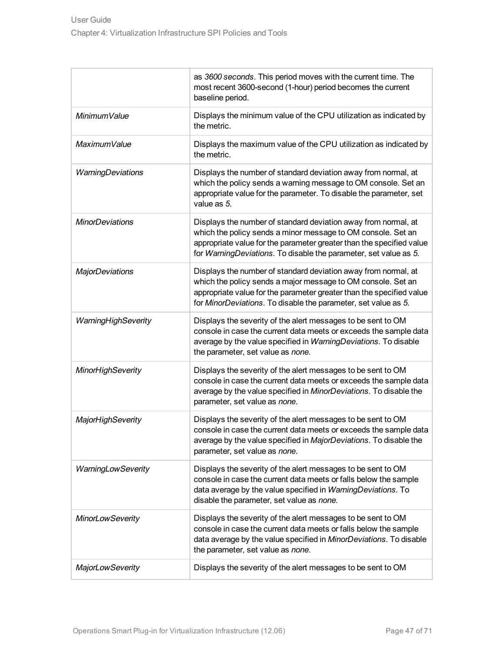|                          | as 3600 seconds. This period moves with the current time. The<br>most recent 3600-second (1-hour) period becomes the current<br>baseline period.                                                                                                                           |
|--------------------------|----------------------------------------------------------------------------------------------------------------------------------------------------------------------------------------------------------------------------------------------------------------------------|
| MinimumValue             | Displays the minimum value of the CPU utilization as indicated by<br>the metric.                                                                                                                                                                                           |
| MaximumValue             | Displays the maximum value of the CPU utilization as indicated by<br>the metric.                                                                                                                                                                                           |
| WarningDeviations        | Displays the number of standard deviation away from normal, at<br>which the policy sends a warning message to OM console. Set an<br>appropriate value for the parameter. To disable the parameter, set<br>value as 5.                                                      |
| <b>MinorDeviations</b>   | Displays the number of standard deviation away from normal, at<br>which the policy sends a minor message to OM console. Set an<br>appropriate value for the parameter greater than the specified value<br>for WarningDeviations. To disable the parameter, set value as 5. |
| <b>MajorDeviations</b>   | Displays the number of standard deviation away from normal, at<br>which the policy sends a major message to OM console. Set an<br>appropriate value for the parameter greater than the specified value<br>for MinorDeviations. To disable the parameter, set value as 5.   |
| WarningHighSeverity      | Displays the severity of the alert messages to be sent to OM<br>console in case the current data meets or exceeds the sample data<br>average by the value specified in WarningDeviations. To disable<br>the parameter, set value as none.                                  |
| <b>MinorHighSeverity</b> | Displays the severity of the alert messages to be sent to OM<br>console in case the current data meets or exceeds the sample data<br>average by the value specified in MinorDeviations. To disable the<br>parameter, set value as none.                                    |
| <b>MajorHighSeverity</b> | Displays the severity of the alert messages to be sent to OM<br>console in case the current data meets or exceeds the sample data<br>average by the value specified in MajorDeviations. To disable the<br>parameter, set value as none.                                    |
| WarningLowSeverity       | Displays the severity of the alert messages to be sent to OM<br>console in case the current data meets or falls below the sample<br>data average by the value specified in WarningDeviations. To<br>disable the parameter, set value as none.                              |
| <b>MinorLowSeverity</b>  | Displays the severity of the alert messages to be sent to OM<br>console in case the current data meets or falls below the sample<br>data average by the value specified in MinorDeviations. To disable<br>the parameter, set value as none.                                |
| <b>MajorLowSeverity</b>  | Displays the severity of the alert messages to be sent to OM                                                                                                                                                                                                               |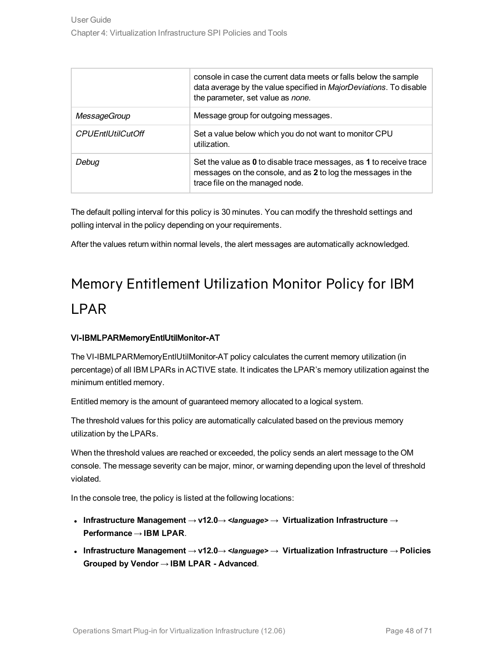|                          | console in case the current data meets or falls below the sample<br>data average by the value specified in MajorDeviations. To disable<br>the parameter, set value as none. |
|--------------------------|-----------------------------------------------------------------------------------------------------------------------------------------------------------------------------|
| MessageGroup             | Message group for outgoing messages.                                                                                                                                        |
| <b>CPUEntIUtilCutOff</b> | Set a value below which you do not want to monitor CPU<br>utilization.                                                                                                      |
| Debua                    | Set the value as 0 to disable trace messages, as 1 to receive trace<br>messages on the console, and as 2 to log the messages in the<br>trace file on the managed node.      |

The default polling interval for this policy is 30 minutes. You can modify the threshold settings and polling interval in the policy depending on your requirements.

<span id="page-47-0"></span>After the values return within normal levels, the alert messages are automatically acknowledged.

# Memory Entitlement Utilization Monitor Policy for IBM LPAR

#### VI-IBMLPARMemoryEntlUtilMonitor-AT

The VI-IBMLPARMemoryEntlUtilMonitor-AT policy calculates the current memory utilization (in percentage) of all IBM LPARs in ACTIVE state. It indicates the LPAR's memory utilization against the minimum entitled memory.

Entitled memory is the amount of guaranteed memory allocated to a logical system.

The threshold values for this policy are automatically calculated based on the previous memory utilization by the LPARs.

When the threshold values are reached or exceeded, the policy sends an alert message to the OM console. The message severity can be major, minor, or warning depending upon the level of threshold violated.

- <sup>l</sup> **Infrastructure Management** → **v12.0**→ *<language>* → **Virtualization Infrastructure** → **Performance** → **IBM LPAR**.
- <sup>l</sup> **Infrastructure Management** → **v12.0**→ *<language>* → **Virtualization Infrastructure** → **Policies Grouped by Vendor** → **IBM LPAR - Advanced**.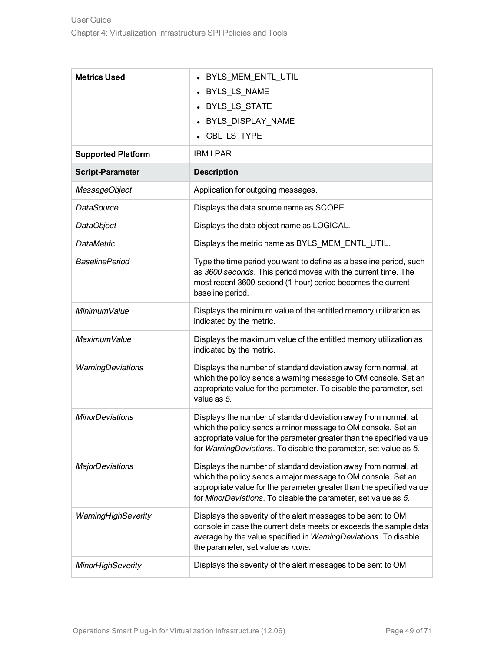| <b>Metrics Used</b>       | • BYLS_MEM_ENTL_UTIL                                                                                                                                                                                                                                                       |
|---------------------------|----------------------------------------------------------------------------------------------------------------------------------------------------------------------------------------------------------------------------------------------------------------------------|
|                           | • BYLS_LS_NAME                                                                                                                                                                                                                                                             |
|                           | BYLS_LS_STATE                                                                                                                                                                                                                                                              |
|                           | • BYLS_DISPLAY_NAME                                                                                                                                                                                                                                                        |
|                           | • GBL_LS_TYPE                                                                                                                                                                                                                                                              |
| <b>Supported Platform</b> | <b>IBM LPAR</b>                                                                                                                                                                                                                                                            |
| <b>Script-Parameter</b>   | <b>Description</b>                                                                                                                                                                                                                                                         |
| MessageObject             | Application for outgoing messages.                                                                                                                                                                                                                                         |
| <b>DataSource</b>         | Displays the data source name as SCOPE.                                                                                                                                                                                                                                    |
| DataObject                | Displays the data object name as LOGICAL.                                                                                                                                                                                                                                  |
| <b>DataMetric</b>         | Displays the metric name as BYLS_MEM_ENTL_UTIL.                                                                                                                                                                                                                            |
| <b>BaselinePeriod</b>     | Type the time period you want to define as a baseline period, such<br>as 3600 seconds. This period moves with the current time. The<br>most recent 3600-second (1-hour) period becomes the current<br>baseline period.                                                     |
| MinimumValue              | Displays the minimum value of the entitled memory utilization as<br>indicated by the metric.                                                                                                                                                                               |
| MaximumValue              | Displays the maximum value of the entitled memory utilization as<br>indicated by the metric.                                                                                                                                                                               |
| WarningDeviations         | Displays the number of standard deviation away form normal, at<br>which the policy sends a warning message to OM console. Set an<br>appropriate value for the parameter. To disable the parameter, set<br>value as 5.                                                      |
| <b>MinorDeviations</b>    | Displays the number of standard deviation away from normal, at<br>which the policy sends a minor message to OM console. Set an<br>appropriate value for the parameter greater than the specified value<br>for WarningDeviations. To disable the parameter, set value as 5. |
| <b>MajorDeviations</b>    | Displays the number of standard deviation away from normal, at<br>which the policy sends a major message to OM console. Set an<br>appropriate value for the parameter greater than the specified value<br>for MinorDeviations. To disable the parameter, set value as 5.   |
| WarningHighSeverity       | Displays the severity of the alert messages to be sent to OM<br>console in case the current data meets or exceeds the sample data<br>average by the value specified in WarningDeviations. To disable<br>the parameter, set value as none.                                  |
| <b>MinorHighSeverity</b>  | Displays the severity of the alert messages to be sent to OM                                                                                                                                                                                                               |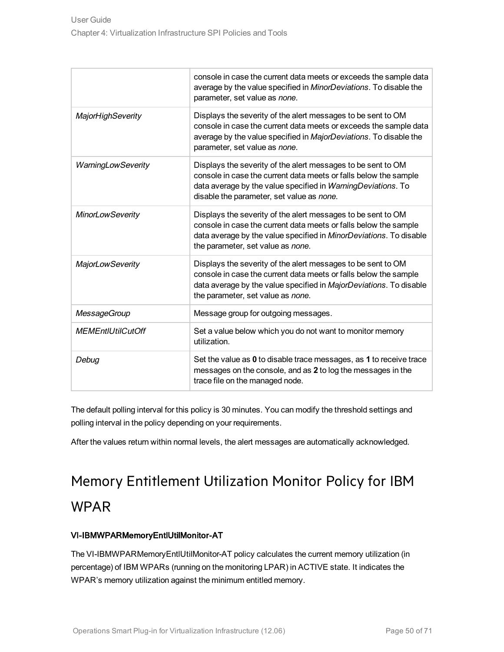|                          | console in case the current data meets or exceeds the sample data<br>average by the value specified in MinorDeviations. To disable the<br>parameter, set value as none.                                                                       |
|--------------------------|-----------------------------------------------------------------------------------------------------------------------------------------------------------------------------------------------------------------------------------------------|
| MajorHighSeverity        | Displays the severity of the alert messages to be sent to OM<br>console in case the current data meets or exceeds the sample data<br>average by the value specified in MajorDeviations. To disable the<br>parameter, set value as none.       |
| WarningLowSeverity       | Displays the severity of the alert messages to be sent to OM<br>console in case the current data meets or falls below the sample<br>data average by the value specified in WarningDeviations. To<br>disable the parameter, set value as none. |
| <b>MinorLowSeverity</b>  | Displays the severity of the alert messages to be sent to OM<br>console in case the current data meets or falls below the sample<br>data average by the value specified in MinorDeviations. To disable<br>the parameter, set value as none.   |
| <b>MajorLowSeverity</b>  | Displays the severity of the alert messages to be sent to OM<br>console in case the current data meets or falls below the sample<br>data average by the value specified in MajorDeviations. To disable<br>the parameter, set value as none.   |
| <b>MessageGroup</b>      | Message group for outgoing messages.                                                                                                                                                                                                          |
| <b>MEMEntIUtilCutOff</b> | Set a value below which you do not want to monitor memory<br>utilization.                                                                                                                                                                     |
| Debug                    | Set the value as 0 to disable trace messages, as 1 to receive trace<br>messages on the console, and as 2 to log the messages in the<br>trace file on the managed node.                                                                        |

The default polling interval for this policy is 30 minutes. You can modify the threshold settings and polling interval in the policy depending on your requirements.

<span id="page-49-0"></span>After the values return within normal levels, the alert messages are automatically acknowledged.

# Memory Entitlement Utilization Monitor Policy for IBM WPAR

#### VI-IBMWPARMemoryEntlUtilMonitor-AT

The VI-IBMWPARMemoryEntlUtilMonitor-AT policy calculates the current memory utilization (in percentage) of IBM WPARs (running on the monitoring LPAR) in ACTIVE state. It indicates the WPAR's memory utilization against the minimum entitled memory.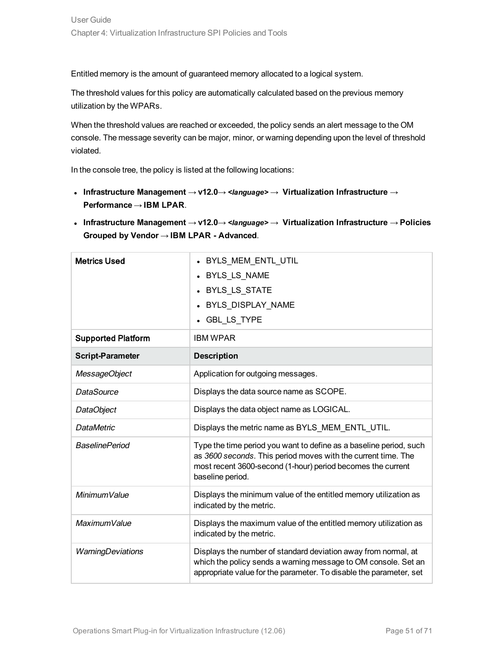Entitled memory is the amount of guaranteed memory allocated to a logical system.

The threshold values for this policy are automatically calculated based on the previous memory utilization by the WPARs.

When the threshold values are reached or exceeded, the policy sends an alert message to the OM console. The message severity can be major, minor, or warning depending upon the level of threshold violated.

- <sup>l</sup> **Infrastructure Management** → **v12.0**→ *<language>* → **Virtualization Infrastructure** → **Performance** → **IBM LPAR**.
- <sup>l</sup> **Infrastructure Management** → **v12.0**→ *<language>* → **Virtualization Infrastructure** → **Policies Grouped by Vendor** → **IBM LPAR - Advanced**.

| <b>Metrics Used</b>       | BYLS MEM ENTL UTIL<br>• BYLS_LS_NAME<br>• BYLS_LS_STATE<br>BYLS DISPLAY NAME<br><b>GBL LS TYPE</b>                                                                                                                     |
|---------------------------|------------------------------------------------------------------------------------------------------------------------------------------------------------------------------------------------------------------------|
| <b>Supported Platform</b> | <b>IBM WPAR</b>                                                                                                                                                                                                        |
| <b>Script-Parameter</b>   | <b>Description</b>                                                                                                                                                                                                     |
| MessageObject             | Application for outgoing messages.                                                                                                                                                                                     |
| DataSource                | Displays the data source name as SCOPE.                                                                                                                                                                                |
| DataObject                | Displays the data object name as LOGICAL.                                                                                                                                                                              |
| <b>DataMetric</b>         | Displays the metric name as BYLS_MEM_ENTL_UTIL.                                                                                                                                                                        |
| <b>BaselinePeriod</b>     | Type the time period you want to define as a baseline period, such<br>as 3600 seconds. This period moves with the current time. The<br>most recent 3600-second (1-hour) period becomes the current<br>baseline period. |
| MinimumValue              | Displays the minimum value of the entitled memory utilization as<br>indicated by the metric.                                                                                                                           |
| MaximumValue              | Displays the maximum value of the entitled memory utilization as<br>indicated by the metric.                                                                                                                           |
| WarningDeviations         | Displays the number of standard deviation away from normal, at<br>which the policy sends a warning message to OM console. Set an<br>appropriate value for the parameter. To disable the parameter, set                 |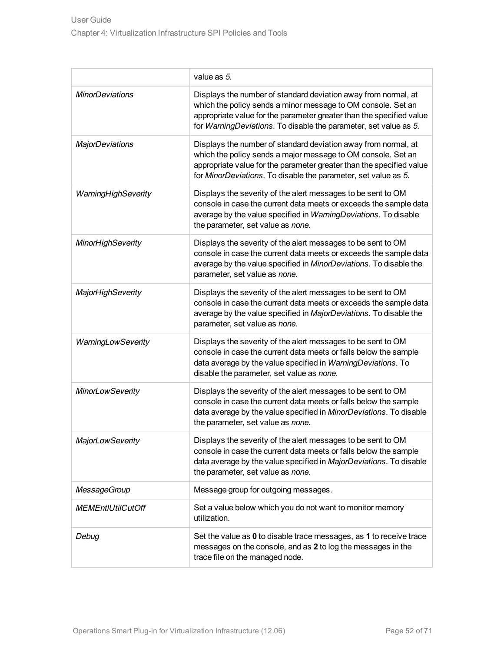|                          | value as 5.                                                                                                                                                                                                                                                                |
|--------------------------|----------------------------------------------------------------------------------------------------------------------------------------------------------------------------------------------------------------------------------------------------------------------------|
| <b>MinorDeviations</b>   | Displays the number of standard deviation away from normal, at<br>which the policy sends a minor message to OM console. Set an<br>appropriate value for the parameter greater than the specified value<br>for WarningDeviations. To disable the parameter, set value as 5. |
| <b>MajorDeviations</b>   | Displays the number of standard deviation away from normal, at<br>which the policy sends a major message to OM console. Set an<br>appropriate value for the parameter greater than the specified value<br>for MinorDeviations. To disable the parameter, set value as 5.   |
| WarningHighSeverity      | Displays the severity of the alert messages to be sent to OM<br>console in case the current data meets or exceeds the sample data<br>average by the value specified in WarningDeviations. To disable<br>the parameter, set value as none.                                  |
| <b>MinorHighSeverity</b> | Displays the severity of the alert messages to be sent to OM<br>console in case the current data meets or exceeds the sample data<br>average by the value specified in MinorDeviations. To disable the<br>parameter, set value as none.                                    |
| MajorHighSeverity        | Displays the severity of the alert messages to be sent to OM<br>console in case the current data meets or exceeds the sample data<br>average by the value specified in MajorDeviations. To disable the<br>parameter, set value as none.                                    |
| WarningLowSeverity       | Displays the severity of the alert messages to be sent to OM<br>console in case the current data meets or falls below the sample<br>data average by the value specified in WarningDeviations. To<br>disable the parameter, set value as none.                              |
| <b>MinorLowSeverity</b>  | Displays the severity of the alert messages to be sent to OM<br>console in case the current data meets or falls below the sample<br>data average by the value specified in MinorDeviations. To disable<br>the parameter, set value as none.                                |
| <b>MajorLowSeverity</b>  | Displays the severity of the alert messages to be sent to OM<br>console in case the current data meets or falls below the sample<br>data average by the value specified in MajorDeviations. To disable<br>the parameter, set value as none.                                |
| <b>MessageGroup</b>      | Message group for outgoing messages.                                                                                                                                                                                                                                       |
| <b>MEMEntIUtilCutOff</b> | Set a value below which you do not want to monitor memory<br>utilization.                                                                                                                                                                                                  |
| Debug                    | Set the value as 0 to disable trace messages, as 1 to receive trace<br>messages on the console, and as 2 to log the messages in the<br>trace file on the managed node.                                                                                                     |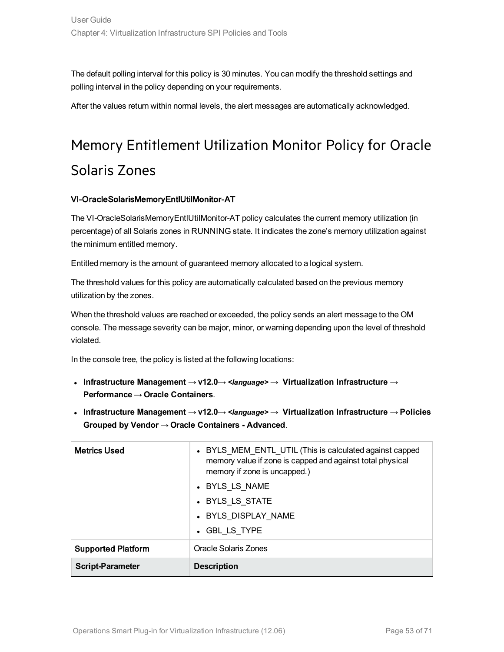The default polling interval for this policy is 30 minutes. You can modify the threshold settings and polling interval in the policy depending on your requirements.

<span id="page-52-0"></span>After the values return within normal levels, the alert messages are automatically acknowledged.

# Memory Entitlement Utilization Monitor Policy for Oracle Solaris Zones

#### VI-OracleSolarisMemoryEntlUtilMonitor-AT

The VI-OracleSolarisMemoryEntlUtilMonitor-AT policy calculates the current memory utilization (in percentage) of all Solaris zones in RUNNING state. It indicates the zone's memory utilization against the minimum entitled memory.

Entitled memory is the amount of guaranteed memory allocated to a logical system.

The threshold values for this policy are automatically calculated based on the previous memory utilization by the zones.

When the threshold values are reached or exceeded, the policy sends an alert message to the OM console. The message severity can be major, minor, or warning depending upon the level of threshold violated.

- <sup>l</sup> **Infrastructure Management** → **v12.0**→ *<language>* → **Virtualization Infrastructure** → **Performance** → **Oracle Containers**.
- <sup>l</sup> **Infrastructure Management** → **v12.0**→ *<language>* → **Virtualization Infrastructure** → **Policies Grouped by Vendor** → **Oracle Containers - Advanced**.

| <b>Metrics Used</b>       | • BYLS_MEM_ENTL_UTIL (This is calculated against capped<br>memory value if zone is capped and against total physical<br>memory if zone is uncapped.) |
|---------------------------|------------------------------------------------------------------------------------------------------------------------------------------------------|
|                           | • BYLS LS NAME                                                                                                                                       |
|                           | • BYLS LS STATE                                                                                                                                      |
|                           | • BYLS DISPLAY NAME                                                                                                                                  |
|                           | • GBL LS TYPE                                                                                                                                        |
| <b>Supported Platform</b> | Oracle Solaris Zones                                                                                                                                 |
| <b>Script-Parameter</b>   | <b>Description</b>                                                                                                                                   |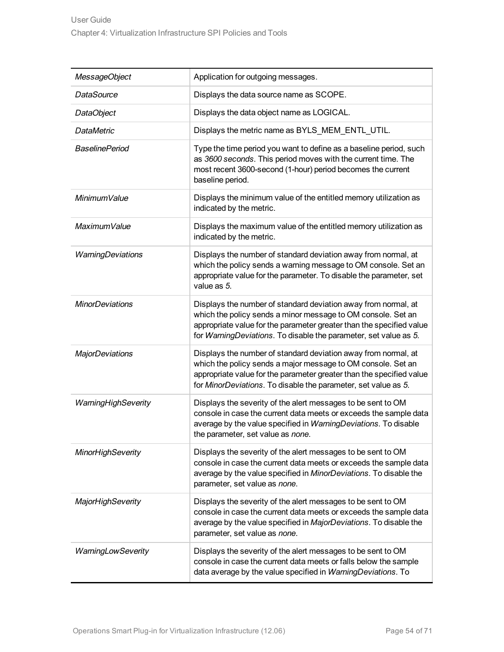| MessageObject            | Application for outgoing messages.                                                                                                                                                                                                                                         |  |
|--------------------------|----------------------------------------------------------------------------------------------------------------------------------------------------------------------------------------------------------------------------------------------------------------------------|--|
| <b>DataSource</b>        | Displays the data source name as SCOPE.                                                                                                                                                                                                                                    |  |
| DataObject               | Displays the data object name as LOGICAL.                                                                                                                                                                                                                                  |  |
| <b>DataMetric</b>        | Displays the metric name as BYLS_MEM_ENTL_UTIL.                                                                                                                                                                                                                            |  |
| <b>BaselinePeriod</b>    | Type the time period you want to define as a baseline period, such<br>as 3600 seconds. This period moves with the current time. The<br>most recent 3600-second (1-hour) period becomes the current<br>baseline period.                                                     |  |
| MinimumValue             | Displays the minimum value of the entitled memory utilization as<br>indicated by the metric.                                                                                                                                                                               |  |
| MaximumValue             | Displays the maximum value of the entitled memory utilization as<br>indicated by the metric.                                                                                                                                                                               |  |
| WarningDeviations        | Displays the number of standard deviation away from normal, at<br>which the policy sends a warning message to OM console. Set an<br>appropriate value for the parameter. To disable the parameter, set<br>value as 5.                                                      |  |
| <b>MinorDeviations</b>   | Displays the number of standard deviation away from normal, at<br>which the policy sends a minor message to OM console. Set an<br>appropriate value for the parameter greater than the specified value<br>for WarningDeviations. To disable the parameter, set value as 5. |  |
| <b>MajorDeviations</b>   | Displays the number of standard deviation away from normal, at<br>which the policy sends a major message to OM console. Set an<br>appropriate value for the parameter greater than the specified value<br>for MinorDeviations. To disable the parameter, set value as 5.   |  |
| WarningHighSeverity      | Displays the severity of the alert messages to be sent to OM<br>console in case the current data meets or exceeds the sample data<br>average by the value specified in WarningDeviations. To disable<br>the parameter, set value as none.                                  |  |
| <b>MinorHighSeverity</b> | Displays the severity of the alert messages to be sent to OM<br>console in case the current data meets or exceeds the sample data<br>average by the value specified in MinorDeviations. To disable the<br>parameter, set value as none.                                    |  |
| <b>MajorHighSeverity</b> | Displays the severity of the alert messages to be sent to OM<br>console in case the current data meets or exceeds the sample data<br>average by the value specified in MajorDeviations. To disable the<br>parameter, set value as none.                                    |  |
| WarningLowSeverity       | Displays the severity of the alert messages to be sent to OM<br>console in case the current data meets or falls below the sample<br>data average by the value specified in WarningDeviations. To                                                                           |  |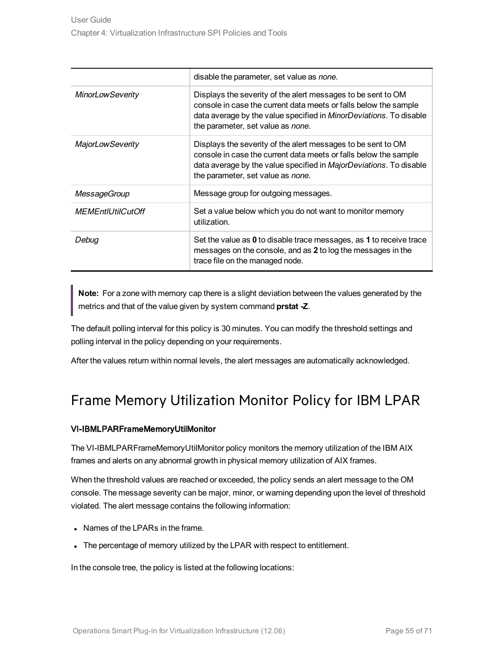|                          | disable the parameter, set value as none.                                                                                                                                                                                                           |  |
|--------------------------|-----------------------------------------------------------------------------------------------------------------------------------------------------------------------------------------------------------------------------------------------------|--|
| <b>MinorLowSeverity</b>  | Displays the severity of the alert messages to be sent to OM<br>console in case the current data meets or falls below the sample<br>data average by the value specified in <i>MinorDeviations</i> . To disable<br>the parameter, set value as none. |  |
| <b>MajorLowSeverity</b>  | Displays the severity of the alert messages to be sent to OM<br>console in case the current data meets or falls below the sample<br>data average by the value specified in MajorDeviations. To disable<br>the parameter, set value as none.         |  |
| <b>MessageGroup</b>      | Message group for outgoing messages.                                                                                                                                                                                                                |  |
| <b>MEMEntIUtilCutOff</b> | Set a value below which you do not want to monitor memory<br>utilization.                                                                                                                                                                           |  |
| Debug                    | Set the value as 0 to disable trace messages, as 1 to receive trace<br>messages on the console, and as 2 to log the messages in the<br>trace file on the managed node.                                                                              |  |

**Note:** For a zone with memory cap there is a slight deviation between the values generated by the metrics and that of the value given by system command **prstat -Z**.

The default polling interval for this policy is 30 minutes. You can modify the threshold settings and polling interval in the policy depending on your requirements.

<span id="page-54-0"></span>After the values return within normal levels, the alert messages are automatically acknowledged.

### Frame Memory Utilization Monitor Policy for IBM LPAR

#### VI-IBMLPARFrameMemoryUtilMonitor

The VI-IBMLPARFrameMemoryUtilMonitor policy monitors the memory utilization of the IBM AIX frames and alerts on any abnormal growth in physical memory utilization of AIX frames.

When the threshold values are reached or exceeded, the policy sends an alert message to the OM console. The message severity can be major, minor, or warning depending upon the level of threshold violated. The alert message contains the following information:

- Names of the LPARs in the frame.
- The percentage of memory utilized by the LPAR with respect to entitlement.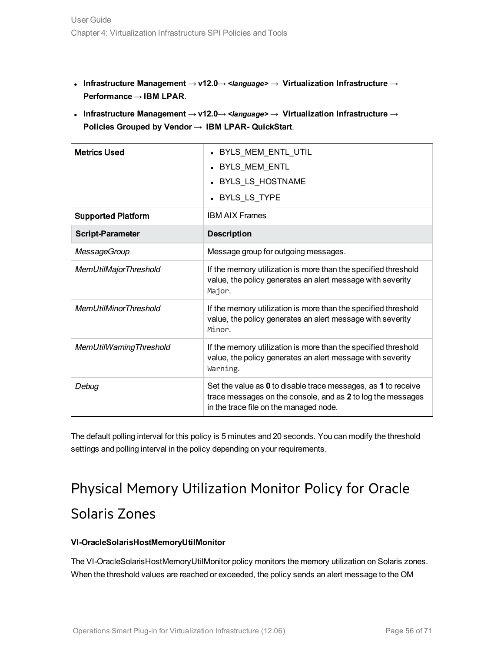- <sup>l</sup> **Infrastructure Management** → **v12.0**→ *<language>* → **Virtualization Infrastructure** → **Performance** → **IBM LPAR**.
- <sup>l</sup> **Infrastructure Management** → **v12.0**→ *<language>* → **Virtualization Infrastructure** → **Policies Grouped by Vendor** → **IBM LPAR- QuickStart**.

| <b>Metrics Used</b>          | • BYLS_MEM_ENTL_UTIL                                                                                                                                                   |  |  |
|------------------------------|------------------------------------------------------------------------------------------------------------------------------------------------------------------------|--|--|
|                              | • BYLS MEM ENTL                                                                                                                                                        |  |  |
|                              | • BYLS LS HOSTNAME                                                                                                                                                     |  |  |
|                              | • BYLS_LS_TYPE                                                                                                                                                         |  |  |
| <b>Supported Platform</b>    | <b>IBM AIX Frames</b>                                                                                                                                                  |  |  |
| <b>Script-Parameter</b>      | <b>Description</b>                                                                                                                                                     |  |  |
| <b>MessageGroup</b>          | Message group for outgoing messages.                                                                                                                                   |  |  |
| MemUtilMajorThreshold        | If the memory utilization is more than the specified threshold<br>value, the policy generates an alert message with severity<br>Major.                                 |  |  |
| <b>MemUtilMinorThreshold</b> | If the memory utilization is more than the specified threshold<br>value, the policy generates an alert message with severity<br>Minor.                                 |  |  |
| MemUtilWarningThreshold      | If the memory utilization is more than the specified threshold<br>value, the policy generates an alert message with severity<br>Warning.                               |  |  |
| Debua                        | Set the value as 0 to disable trace messages, as 1 to receive<br>trace messages on the console, and as 2 to log the messages<br>in the trace file on the managed node. |  |  |

<span id="page-55-0"></span>The default polling interval for this policy is 5 minutes and 20 seconds. You can modify the threshold settings and polling interval in the policy depending on your requirements.

# Physical Memory Utilization Monitor Policy for Oracle Solaris Zones

#### **VI-OracleSolarisHostMemoryUtilMonitor**

The VI-OracleSolarisHostMemoryUtilMonitor policy monitors the memory utilization on Solaris zones. When the threshold values are reached or exceeded, the policy sends an alert message to the OM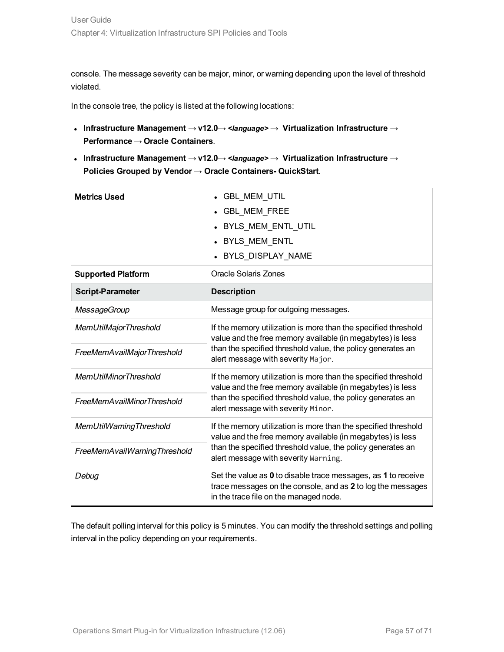console. The message severity can be major, minor, or warning depending upon the level of threshold violated.

In the console tree, the policy is listed at the following locations:

- <sup>l</sup> **Infrastructure Management** → **v12.0**→ *<language>* → **Virtualization Infrastructure** → **Performance** → **Oracle Containers**.
- <sup>l</sup> **Infrastructure Management** → **v12.0**→ *<language>* → **Virtualization Infrastructure** → **Policies Grouped by Vendor** → **Oracle Containers- QuickStart**.

| <b>Metrics Used</b>          | <b>GBL MEM UTIL</b><br><b>GBL MEM FREE</b><br>BYLS_MEM_ENTL_UTIL<br><b>BYLS MEM ENTL</b>                                                                               |  |
|------------------------------|------------------------------------------------------------------------------------------------------------------------------------------------------------------------|--|
|                              | BYLS DISPLAY NAME                                                                                                                                                      |  |
| <b>Supported Platform</b>    | Oracle Solaris Zones                                                                                                                                                   |  |
| <b>Script-Parameter</b>      | <b>Description</b>                                                                                                                                                     |  |
| <b>MessageGroup</b>          | Message group for outgoing messages.                                                                                                                                   |  |
| <b>MemUtilMajorThreshold</b> | If the memory utilization is more than the specified threshold<br>value and the free memory available (in megabytes) is less                                           |  |
| FreeMemAvailMajorThreshold   | than the specified threshold value, the policy generates an<br>alert message with severity Major.                                                                      |  |
| <b>MemUtilMinorThreshold</b> | If the memory utilization is more than the specified threshold<br>value and the free memory available (in megabytes) is less                                           |  |
| FreeMemAvailMinorThreshold   | than the specified threshold value, the policy generates an<br>alert message with severity Minor.                                                                      |  |
| MemUtilWarningThreshold      | If the memory utilization is more than the specified threshold<br>value and the free memory available (in megabytes) is less                                           |  |
| FreeMemAvailWarningThreshold | than the specified threshold value, the policy generates an<br>alert message with severity Warning.                                                                    |  |
| Debug                        | Set the value as 0 to disable trace messages, as 1 to receive<br>trace messages on the console, and as 2 to log the messages<br>in the trace file on the managed node. |  |

The default polling interval for this policy is 5 minutes. You can modify the threshold settings and polling interval in the policy depending on your requirements.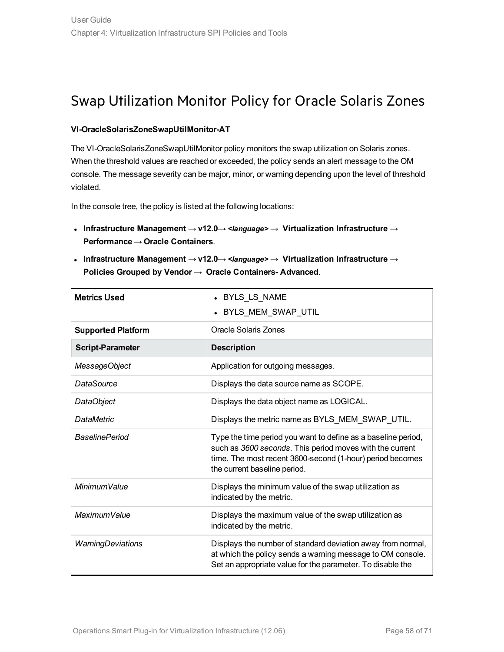### <span id="page-57-0"></span>Swap Utilization Monitor Policy for Oracle Solaris Zones

#### **VI-OracleSolarisZoneSwapUtilMonitor-AT**

The VI-OracleSolarisZoneSwapUtilMonitor policy monitors the swap utilization on Solaris zones. When the threshold values are reached or exceeded, the policy sends an alert message to the OM console. The message severity can be major, minor, or warning depending upon the level of threshold violated.

- <sup>l</sup> **Infrastructure Management** → **v12.0**→ *<language>* → **Virtualization Infrastructure** → **Performance** → **Oracle Containers**.
- <sup>l</sup> **Infrastructure Management** → **v12.0**→ *<language>* → **Virtualization Infrastructure** → **Policies Grouped by Vendor** → **Oracle Containers- Advanced**.

| <b>Metrics Used</b>       | • BYLS LS NAME<br>BYLS_MEM_SWAP_UTIL                                                                                                                                                                                   |  |
|---------------------------|------------------------------------------------------------------------------------------------------------------------------------------------------------------------------------------------------------------------|--|
| <b>Supported Platform</b> | Oracle Solaris Zones                                                                                                                                                                                                   |  |
| <b>Script-Parameter</b>   | <b>Description</b>                                                                                                                                                                                                     |  |
| MessageObject             | Application for outgoing messages.                                                                                                                                                                                     |  |
| DataSource                | Displays the data source name as SCOPE.                                                                                                                                                                                |  |
| <b>DataObject</b>         | Displays the data object name as LOGICAL.                                                                                                                                                                              |  |
| <b>DataMetric</b>         | Displays the metric name as BYLS_MEM_SWAP_UTIL.                                                                                                                                                                        |  |
| <b>BaselinePeriod</b>     | Type the time period you want to define as a baseline period,<br>such as 3600 seconds. This period moves with the current<br>time. The most recent 3600-second (1-hour) period becomes<br>the current baseline period. |  |
| Minimum Value             | Displays the minimum value of the swap utilization as<br>indicated by the metric.                                                                                                                                      |  |
| Maximum Value             | Displays the maximum value of the swap utilization as<br>indicated by the metric.                                                                                                                                      |  |
| <b>WarningDeviations</b>  | Displays the number of standard deviation away from normal,<br>at which the policy sends a warning message to OM console.<br>Set an appropriate value for the parameter. To disable the                                |  |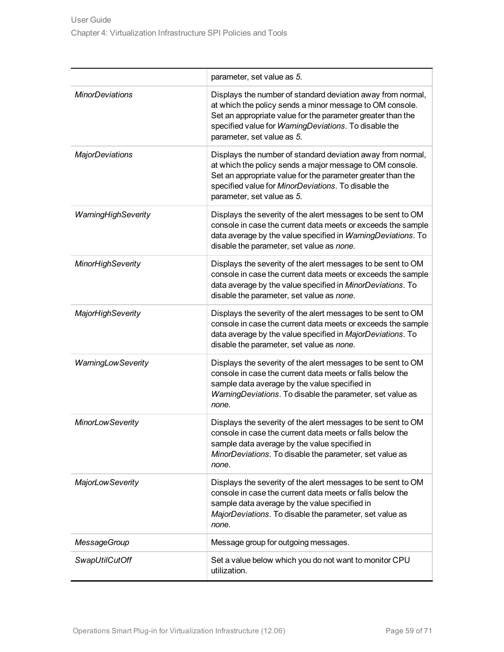|                           | parameter, set value as 5.                                                                                                                                                                                                                                                    |
|---------------------------|-------------------------------------------------------------------------------------------------------------------------------------------------------------------------------------------------------------------------------------------------------------------------------|
| <b>MinorDeviations</b>    | Displays the number of standard deviation away from normal,<br>at which the policy sends a minor message to OM console.<br>Set an appropriate value for the parameter greater than the<br>specified value for WarningDeviations. To disable the<br>parameter, set value as 5. |
| <b>MajorDeviations</b>    | Displays the number of standard deviation away from normal,<br>at which the policy sends a major message to OM console.<br>Set an appropriate value for the parameter greater than the<br>specified value for MinorDeviations. To disable the<br>parameter, set value as 5.   |
| WarningHighSeverity       | Displays the severity of the alert messages to be sent to OM<br>console in case the current data meets or exceeds the sample<br>data average by the value specified in WarningDeviations. To<br>disable the parameter, set value as none.                                     |
| <b>MinorHighSeverity</b>  | Displays the severity of the alert messages to be sent to OM<br>console in case the current data meets or exceeds the sample<br>data average by the value specified in MinorDeviations. To<br>disable the parameter, set value as none.                                       |
| <b>MajorHighSeverity</b>  | Displays the severity of the alert messages to be sent to OM<br>console in case the current data meets or exceeds the sample<br>data average by the value specified in MajorDeviations. To<br>disable the parameter, set value as none.                                       |
| <b>WarningLowSeverity</b> | Displays the severity of the alert messages to be sent to OM<br>console in case the current data meets or falls below the<br>sample data average by the value specified in<br>WarningDeviations. To disable the parameter, set value as<br>none.                              |
| <b>MinorLowSeverity</b>   | Displays the severity of the alert messages to be sent to OM<br>console in case the current data meets or falls below the<br>sample data average by the value specified in<br>MinorDeviations. To disable the parameter, set value as<br>none.                                |
| <b>MajorLowSeverity</b>   | Displays the severity of the alert messages to be sent to OM<br>console in case the current data meets or falls below the<br>sample data average by the value specified in<br>MajorDeviations. To disable the parameter, set value as<br>none.                                |
| <b>MessageGroup</b>       | Message group for outgoing messages.                                                                                                                                                                                                                                          |
| <b>SwapUtilCutOff</b>     | Set a value below which you do not want to monitor CPU<br>utilization.                                                                                                                                                                                                        |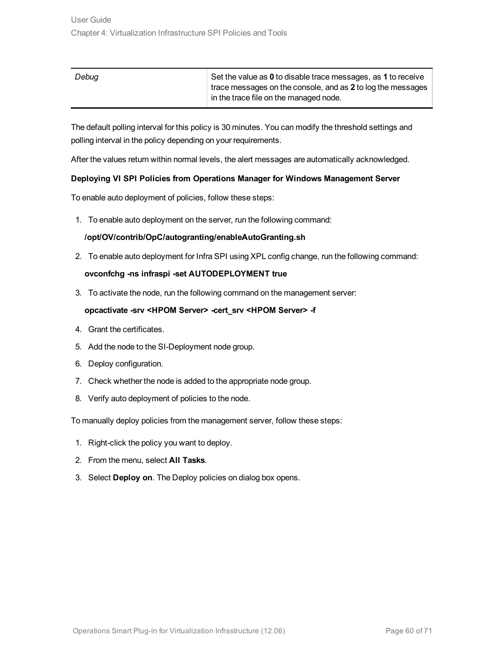| Debug | Set the value as 0 to disable trace messages, as 1 to receive |
|-------|---------------------------------------------------------------|
|       | trace messages on the console, and as 2 to log the messages   |
|       | in the trace file on the managed node.                        |

The default polling interval for this policy is 30 minutes. You can modify the threshold settings and polling interval in the policy depending on your requirements.

<span id="page-59-0"></span>After the values return within normal levels, the alert messages are automatically acknowledged.

#### **Deploying VI SPI Policies from Operations Manager for Windows Management Server**

To enable auto deployment of policies, follow these steps:

1. To enable auto deployment on the server, run the following command:

#### **/opt/OV/contrib/OpC/autogranting/enableAutoGranting.sh**

2. To enable auto deployment for Infra SPI using XPL config change, run the following command:

#### **ovconfchg -ns infraspi -set AUTODEPLOYMENT true**

3. To activate the node, run the following command on the management server:

#### **opcactivate -srv <HPOM Server> -cert\_srv <HPOM Server> -f**

- 4. Grant the certificates.
- 5. Add the node to the SI-Deployment node group.
- 6. Deploy configuration.
- 7. Check whether the node is added to the appropriate node group.
- 8. Verify auto deployment of policies to the node.

To manually deploy policies from the management server, follow these steps:

- 1. Right-click the policy you want to deploy.
- 2. From the menu, select **All Tasks**.
- 3. Select **Deploy on**. The Deploy policies on dialog box opens.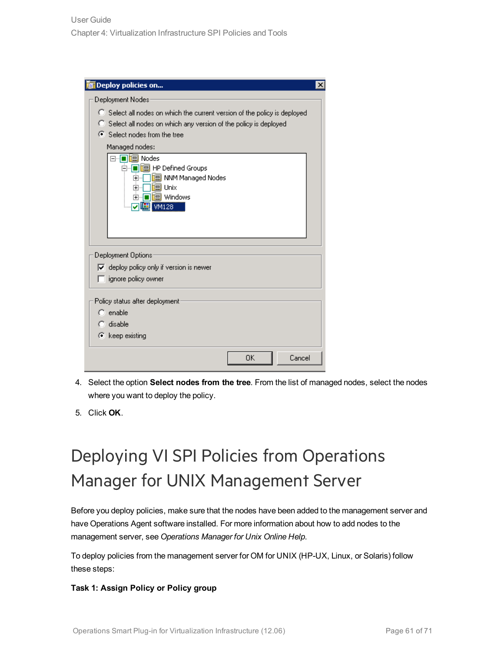| <b>In Deploy policies on</b>                                                                                                                                                                                                                                                                                                                                            | × |
|-------------------------------------------------------------------------------------------------------------------------------------------------------------------------------------------------------------------------------------------------------------------------------------------------------------------------------------------------------------------------|---|
| Deployment Nodes<br>C Select all nodes on which the current version of the policy is deployed<br>C Select all nodes on which any version of the policy is deployed<br>⊙ Select nodes from the tree<br>Managed nodes:<br>⊟… <mark>■</mark> I. Nodes<br>d. Defined Groups<br>    NNM Managed Nodes<br>曱<br><b>■ Unix</b><br>曱<br>■恒 windows<br>$\overline{+}$<br> 團 WM128 |   |
| Deployment Options<br>$\overline{\blacktriangledown}$ deploy policy only if version is newer<br>$\Box$ ignore policy owner<br>Policy status after deployment<br>$\bigcap$ enable                                                                                                                                                                                        |   |
| $\bigcap$ disable<br>$\bullet$ keep existing<br>0K.<br>Cancel                                                                                                                                                                                                                                                                                                           |   |

- 4. Select the option **Select nodes from the tree**. From the list of managed nodes, select the nodes where you want to deploy the policy.
- <span id="page-60-0"></span>5. Click **OK**.

# Deploying VI SPI Policies from Operations Manager for UNIX Management Server

Before you deploy policies, make sure that the nodes have been added to the management server and have Operations Agent software installed. For more information about how to add nodes to the management server, see *Operations Manager for Unix Online Help*.

To deploy policies from the management server for OM for UNIX (HP-UX, Linux, or Solaris) follow these steps:

#### **Task 1: Assign Policy or Policy group**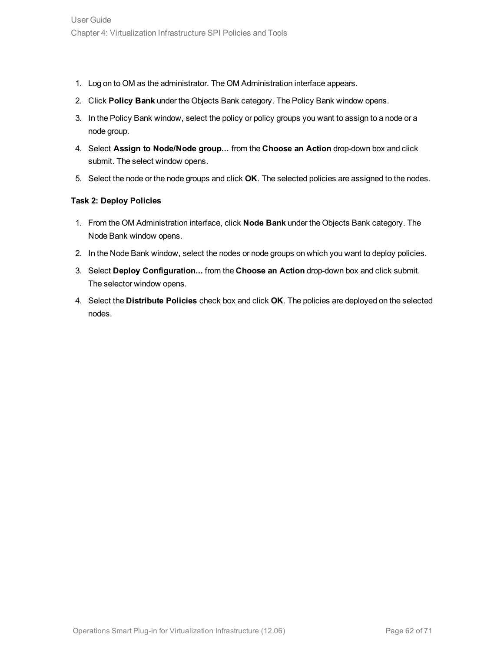- 1. Log on to OM as the administrator. The OM Administration interface appears.
- 2. Click **Policy Bank** under the Objects Bank category. The Policy Bank window opens.
- 3. In the Policy Bank window, select the policy or policy groups you want to assign to a node or a node group.
- 4. Select **Assign to Node/Node group...** from the **Choose an Action** drop-down box and click submit. The select window opens.
- 5. Select the node or the node groups and click **OK**. The selected policies are assigned to the nodes.

#### **Task 2: Deploy Policies**

- 1. From the OM Administration interface, click **Node Bank** under the Objects Bank category. The Node Bank window opens.
- 2. In the Node Bank window, select the nodes or node groups on which you want to deploy policies.
- 3. Select **Deploy Configuration...** from the **Choose an Action** drop-down box and click submit. The selector window opens.
- 4. Select the **Distribute Policies** check box and click **OK**. The policies are deployed on the selected nodes.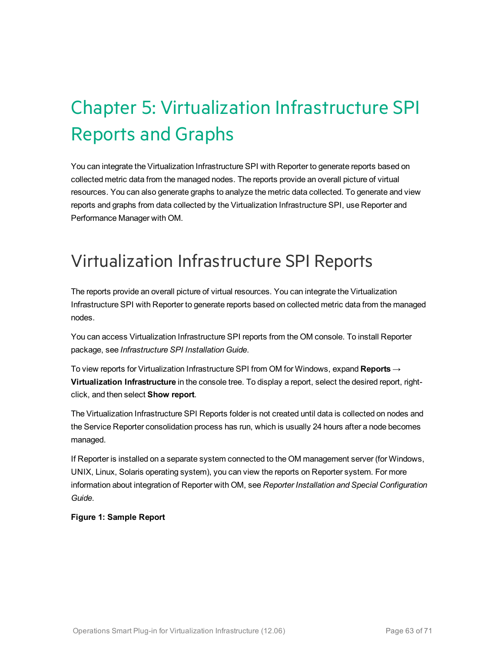# <span id="page-62-0"></span>Chapter 5: Virtualization Infrastructure SPI Reports and Graphs

You can integrate the Virtualization Infrastructure SPI with Reporter to generate reports based on collected metric data from the managed nodes. The reports provide an overall picture of virtual resources. You can also generate graphs to analyze the metric data collected. To generate and view reports and graphs from data collected by the Virtualization Infrastructure SPI, use Reporter and Performance Manager with OM.

## <span id="page-62-1"></span>Virtualization Infrastructure SPI Reports

The reports provide an overall picture of virtual resources. You can integrate the Virtualization Infrastructure SPI with Reporter to generate reports based on collected metric data from the managed nodes.

You can access Virtualization Infrastructure SPI reports from the OM console. To install Reporter package, see *Infrastructure SPI Installation Guide*.

To view reports for Virtualization Infrastructure SPI from OM for Windows, expand **Reports** → **Virtualization Infrastructure** in the console tree. To display a report, select the desired report, rightclick, and then select **Show report**.

The Virtualization Infrastructure SPI Reports folder is not created until data is collected on nodes and the Service Reporter consolidation process has run, which is usually 24 hours after a node becomes managed.

If Reporter is installed on a separate system connected to the OM management server (for Windows, UNIX, Linux, Solaris operating system), you can view the reports on Reporter system. For more information about integration of Reporter with OM, see *Reporter Installation and Special Configuration Guide*.

#### **Figure 1: Sample Report**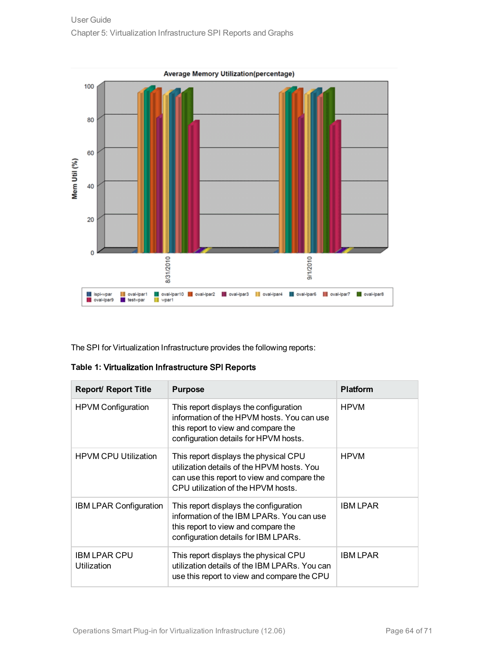

The SPI for Virtualization Infrastructure provides the following reports:

|  |  |  | Table 1: Virtualization Infrastructure SPI Reports |  |  |
|--|--|--|----------------------------------------------------|--|--|
|--|--|--|----------------------------------------------------|--|--|

| <b>Report/ Report Title</b>        | <b>Purpose</b>                                                                                                                                                           | <b>Platform</b> |
|------------------------------------|--------------------------------------------------------------------------------------------------------------------------------------------------------------------------|-----------------|
| HPVM Configuration                 | This report displays the configuration<br>information of the HPVM hosts. You can use<br>this report to view and compare the<br>configuration details for HPVM hosts.     | <b>HPVM</b>     |
| <b>HPVM CPU Utilization</b>        | This report displays the physical CPU<br>utilization details of the HPVM hosts. You<br>can use this report to view and compare the<br>CPU utilization of the HPVM hosts. | <b>HPVM</b>     |
| <b>IBM LPAR Configuration</b>      | This report displays the configuration<br>information of the IBM LPARs. You can use<br>this report to view and compare the<br>configuration details for IBM LPARs.       | <b>IBM LPAR</b> |
| <b>IBM LPAR CPU</b><br>Utilization | This report displays the physical CPU<br>utilization details of the IBM LPARs. You can<br>use this report to view and compare the CPU                                    | <b>IBM LPAR</b> |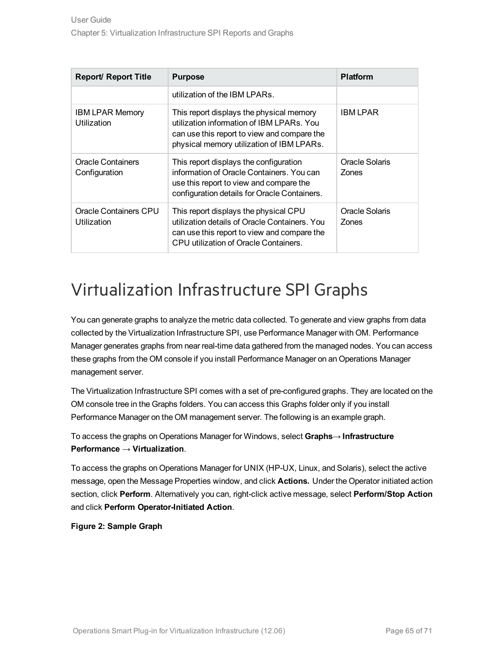| <b>Report/ Report Title</b>           | <b>Purpose</b>                                                                                                                                                                    | <b>Platform</b>         |
|---------------------------------------|-----------------------------------------------------------------------------------------------------------------------------------------------------------------------------------|-------------------------|
|                                       | utilization of the IBM LPARs.                                                                                                                                                     |                         |
| <b>IBM LPAR Memory</b><br>Utilization | This report displays the physical memory<br>utilization information of IBM LPARs. You<br>can use this report to view and compare the<br>physical memory utilization of IBM LPARs. | <b>IBM LPAR</b>         |
| Oracle Containers<br>Configuration    | This report displays the configuration<br>information of Oracle Containers. You can<br>use this report to view and compare the<br>configuration details for Oracle Containers.    | Oracle Solaris<br>Zones |
| Oracle Containers CPU<br>Utilization  | This report displays the physical CPU<br>utilization details of Oracle Containers. You<br>can use this report to view and compare the<br>CPU utilization of Oracle Containers.    | Oracle Solaris<br>Zones |

## <span id="page-64-0"></span>Virtualization Infrastructure SPI Graphs

You can generate graphs to analyze the metric data collected. To generate and view graphs from data collected by the Virtualization Infrastructure SPI, use Performance Manager with OM. Performance Manager generates graphs from near real-time data gathered from the managed nodes. You can access these graphs from the OM console if you install Performance Manager on an Operations Manager management server.

The Virtualization Infrastructure SPI comes with a set of pre-configured graphs. They are located on the OM console tree in the Graphs folders. You can access this Graphs folder only if you install Performance Manager on the OM management server. The following is an example graph.

To access the graphs on Operations Manager for Windows, select **Graphs**→ **Infrastructure Performance** → **Virtualization**.

To access the graphs on Operations Manager for UNIX (HP-UX, Linux, and Solaris), select the active message, open the Message Properties window, and click **Actions.** Under the Operator initiated action section, click **Perform**. Alternatively you can, right-click active message, select **Perform/Stop Action** and click **Perform Operator-Initiated Action**.

**Figure 2: Sample Graph**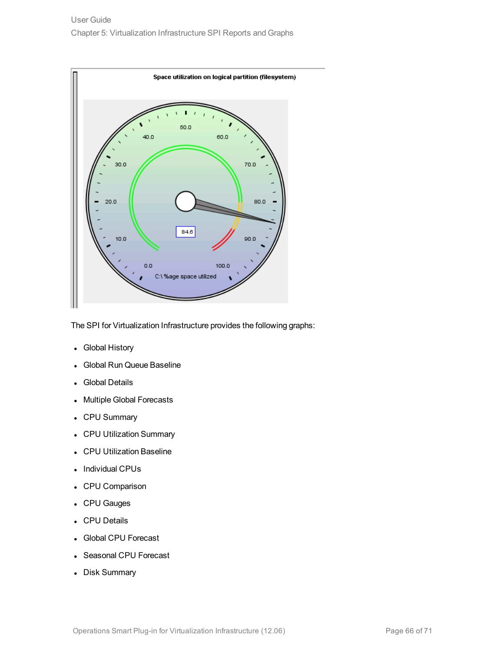

The SPI for Virtualization Infrastructure provides the following graphs:

- Global History
- Global Run Queue Baseline
- Global Details
- Multiple Global Forecasts
- CPU Summary
- CPU Utilization Summary
- CPU Utilization Baseline
- Individual CPUs
- CPU Comparison
- CPU Gauges
- CPU Details
- **Global CPU Forecast**
- Seasonal CPU Forecast
- Disk Summary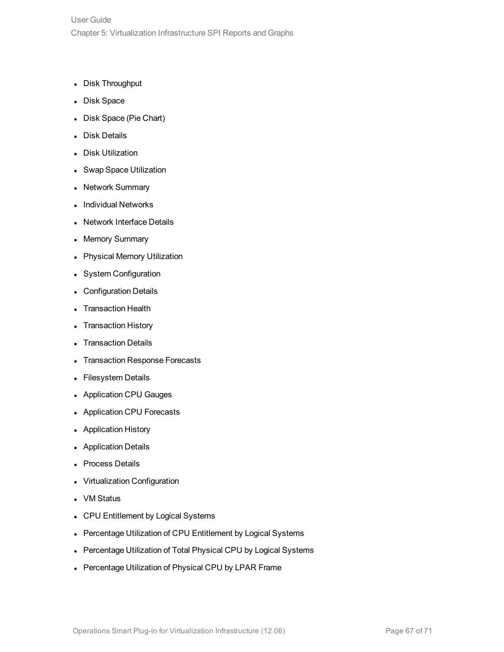- Disk Throughput
- Disk Space
- Disk Space (Pie Chart)
- Disk Details
- Disk Utilization
- Swap Space Utilization
- Network Summary
- Individual Networks
- Network Interface Details
- Memory Summary
- Physical Memory Utilization
- System Configuration
- Configuration Details
- **Transaction Health**
- **Transaction History**
- **Transaction Details**
- **Transaction Response Forecasts**
- Filesystem Details
- Application CPU Gauges
- Application CPU Forecasts
- Application History
- **Application Details**
- Process Details
- **Virtualization Configuration**
- **VM Status**
- CPU Entitlement by Logical Systems
- Percentage Utilization of CPU Entitlement by Logical Systems
- Percentage Utilization of Total Physical CPU by Logical Systems
- Percentage Utilization of Physical CPU by LPAR Frame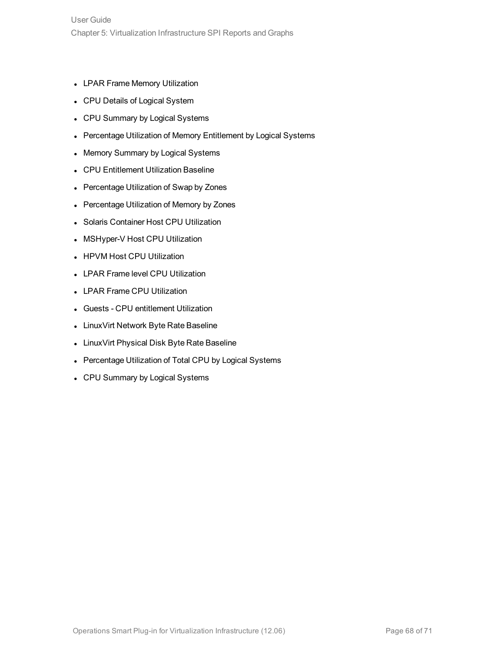- LPAR Frame Memory Utilization
- CPU Details of Logical System
- CPU Summary by Logical Systems
- Percentage Utilization of Memory Entitlement by Logical Systems
- Memory Summary by Logical Systems
- CPU Entitlement Utilization Baseline
- Percentage Utilization of Swap by Zones
- Percentage Utilization of Memory by Zones
- Solaris Container Host CPU Utilization
- MSHyper-V Host CPU Utilization
- HPVM Host CPU Utilization
- LPAR Frame level CPU Utilization
- LPAR Frame CPU Utilization
- Guests CPU entitlement Utilization
- LinuxVirt Network Byte Rate Baseline
- LinuxVirt Physical Disk Byte Rate Baseline
- Percentage Utilization of Total CPU by Logical Systems
- CPU Summary by Logical Systems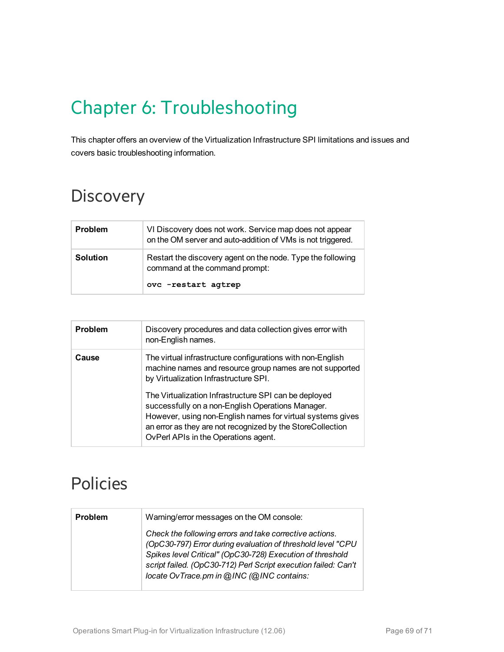# <span id="page-68-0"></span>Chapter 6: Troubleshooting

This chapter offers an overview of the Virtualization Infrastructure SPI limitations and issues and covers basic troubleshooting information.

# <span id="page-68-1"></span>**Discovery**

| <b>Problem</b>  | VI Discovery does not work. Service map does not appear<br>on the OM server and auto-addition of VMs is not triggered. |
|-----------------|------------------------------------------------------------------------------------------------------------------------|
| <b>Solution</b> | Restart the discovery agent on the node. Type the following<br>command at the command prompt:<br>ovc -restart agtrep   |

| Problem | Discovery procedures and data collection gives error with<br>non-English names.                                                                                                                                                                                                |
|---------|--------------------------------------------------------------------------------------------------------------------------------------------------------------------------------------------------------------------------------------------------------------------------------|
| Cause   | The virtual infrastructure configurations with non-English<br>machine names and resource group names are not supported<br>by Virtualization Infrastructure SPI.                                                                                                                |
|         | The Virtualization Infrastructure SPI can be deployed<br>successfully on a non-English Operations Manager.<br>However, using non-English names for virtual systems gives<br>an error as they are not recognized by the StoreCollection<br>OvPerl APIs in the Operations agent. |

## <span id="page-68-2"></span>Policies

| <b>Problem</b> | Warning/error messages on the OM console:                                                                                                                                                                                                                                                          |
|----------------|----------------------------------------------------------------------------------------------------------------------------------------------------------------------------------------------------------------------------------------------------------------------------------------------------|
|                | Check the following errors and take corrective actions.<br>(OpC30-797) Error during evaluation of threshold level "CPU<br>Spikes level Critical" (OpC30-728) Execution of threshold<br>script failed. (OpC30-712) Perl Script execution failed: Can't<br>locate OvTrace.pm in @INC (@INC contains: |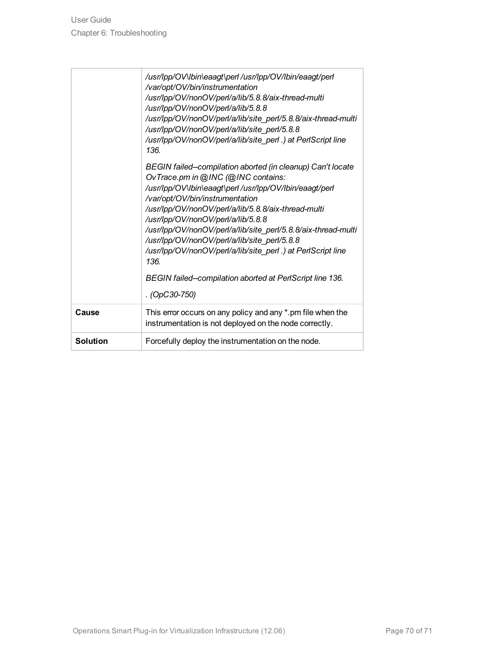|                 | /usr/lpp/OV\lbin\eaagt\perl /usr/lpp/OV/lbin/eaagt/perl<br>/var/opt/OV/bin/instrumentation<br>/usr/lpp/OV/nonOV/perl/a/lib/5.8.8/aix-thread-multi<br>/usr/lpp/OV/nonOV/perl/a/lib/5.8.8<br>/usr/lpp/OV/nonOV/perl/a/lib/site_perl/5.8.8/aix-thread-multi<br>/usr/lpp/OV/nonOV/perl/a/lib/site_perl/5.8.8<br>/usr/lpp/OV/nonOV/perl/a/lib/site perl.) at PerlScript line<br>136.<br>BEGIN failed--compilation aborted (in cleanup) Can't locate<br>OvTrace.pm in @INC (@INC contains:<br>/usr/lpp/OV\lbin\eaagt\perl /usr/lpp/OV/lbin/eaagt/perl<br>/var/opt/OV/bin/instrumentation<br>/usr/lpp/OV/nonOV/perl/a/lib/5.8.8/aix-thread-multi<br>/usr/lpp/OV/nonOV/perl/a/lib/5.8.8<br>/usr/lpp/OV/nonOV/perl/a/lib/site_perl/5.8.8/aix-thread-multi<br>/usr/lpp/OV/nonOV/perl/a/lib/site_perl/5.8.8<br>/usr/lpp/OV/nonOV/perl/a/lib/site_perl.) at PerlScript line<br>136<br>BEGIN failed--compilation aborted at PerlScript line 136. |
|-----------------|-------------------------------------------------------------------------------------------------------------------------------------------------------------------------------------------------------------------------------------------------------------------------------------------------------------------------------------------------------------------------------------------------------------------------------------------------------------------------------------------------------------------------------------------------------------------------------------------------------------------------------------------------------------------------------------------------------------------------------------------------------------------------------------------------------------------------------------------------------------------------------------------------------------------------------------|
|                 | . (OpC30-750)                                                                                                                                                                                                                                                                                                                                                                                                                                                                                                                                                                                                                                                                                                                                                                                                                                                                                                                       |
| Cause           | This error occurs on any policy and any *.pm file when the<br>instrumentation is not deployed on the node correctly.                                                                                                                                                                                                                                                                                                                                                                                                                                                                                                                                                                                                                                                                                                                                                                                                                |
| <b>Solution</b> | Forcefully deploy the instrumentation on the node.                                                                                                                                                                                                                                                                                                                                                                                                                                                                                                                                                                                                                                                                                                                                                                                                                                                                                  |